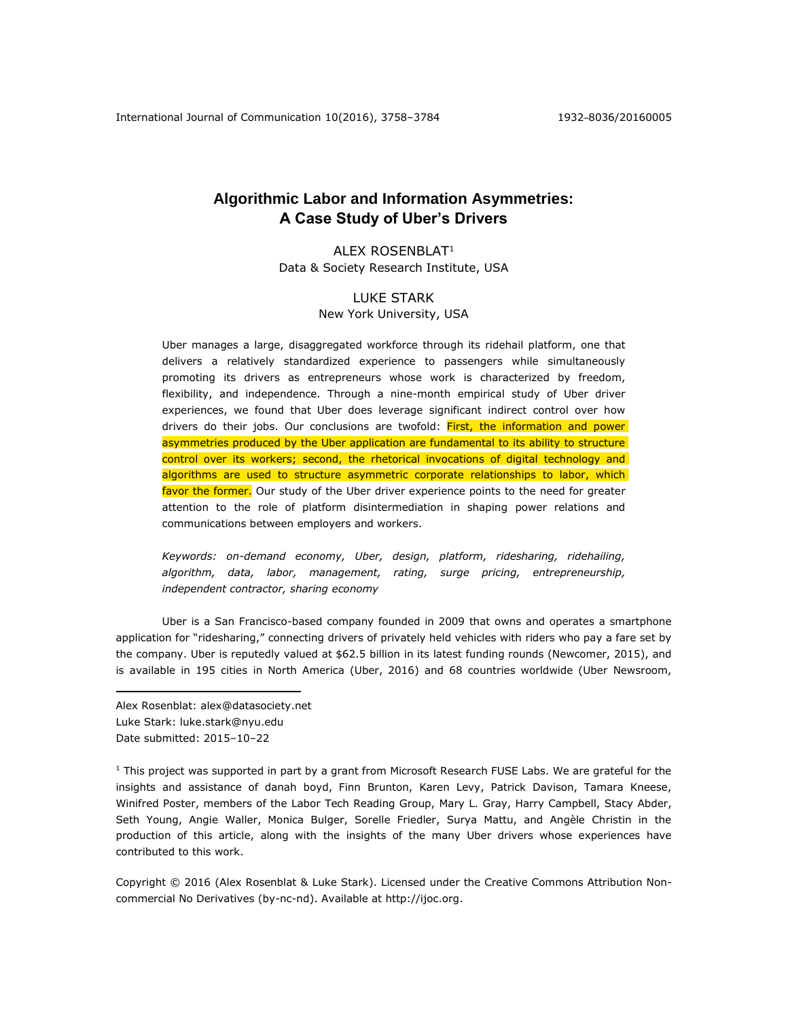# **Algorithmic Labor and Information Asymmetries: A Case Study of Uber's Drivers**

ALEX ROSENBLAT<sup>1</sup> Data & Society Research Institute, USA

# LUKE STARK

# New York University, USA

Uber manages a large, disaggregated workforce through its ridehail platform, one that delivers a relatively standardized experience to passengers while simultaneously promoting its drivers as entrepreneurs whose work is characterized by freedom, flexibility, and independence. Through a nine-month empirical study of Uber driver experiences, we found that Uber does leverage significant indirect control over how drivers do their jobs. Our conclusions are twofold: First, the information and power asymmetries produced by the Uber application are fundamental to its ability to structure control over its workers; second, the rhetorical invocations of digital technology and algorithms are used to structure asymmetric corporate relationships to labor, which favor the former. Our study of the Uber driver experience points to the need for greater attention to the role of platform disintermediation in shaping power relations and communications between employers and workers.

*Keywords: on-demand economy, Uber, design, platform, ridesharing, ridehailing, algorithm, data, labor, management, rating, surge pricing, entrepreneurship, independent contractor, sharing economy*

Uber is a San Francisco-based company founded in 2009 that owns and operates a smartphone application for "ridesharing," connecting drivers of privately held vehicles with riders who pay a fare set by the company. Uber is reputedly valued at \$62.5 billion in its latest funding rounds (Newcomer, 2015), and is available in 195 cities in North America (Uber, 2016) and 68 countries worldwide (Uber Newsroom,

 $\overline{a}$ 

 $1$  This project was supported in part by a grant from Microsoft Research FUSE Labs. We are grateful for the insights and assistance of danah boyd, Finn Brunton, Karen Levy, Patrick Davison, Tamara Kneese, Winifred Poster, members of the Labor Tech Reading Group, Mary L. Gray, Harry Campbell, Stacy Abder, Seth Young, Angie Waller, Monica Bulger, Sorelle Friedler, Surya Mattu, and Angèle Christin in the production of this article, along with the insights of the many Uber drivers whose experiences have contributed to this work.

Copyright © 2016 (Alex Rosenblat & Luke Stark). Licensed under the Creative Commons Attribution Noncommercial No Derivatives (by-nc-nd). Available at [http://ijoc.org.](http://ijoc.org/)

Alex Rosenblat: alex@datasociety.net Luke Stark: luke.stark@nyu.edu Date submitted: 2015–10–22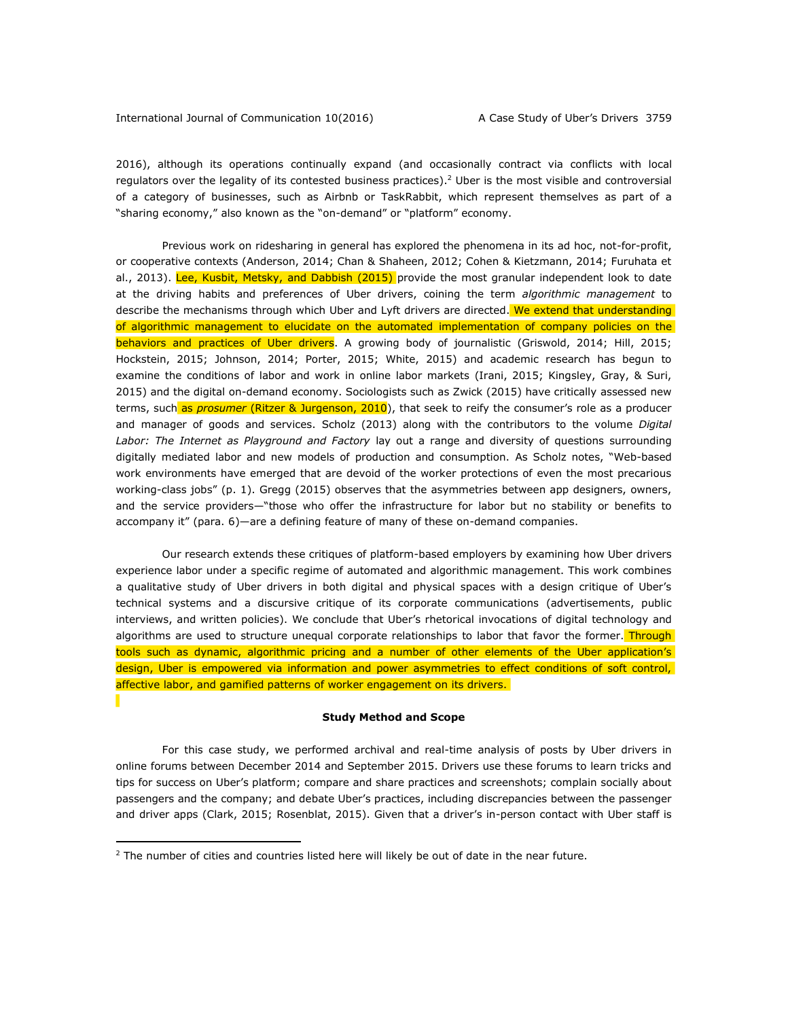2016), although its operations continually expand (and occasionally contract via conflicts with local regulators over the legality of its contested business practices).<sup>2</sup> Uber is the most visible and controversial of a category of businesses, such as Airbnb or TaskRabbit, which represent themselves as part of a "sharing economy," also known as the "on-demand" or "platform" economy.

Previous work on ridesharing in general has explored the phenomena in its ad hoc, not-for-profit, or cooperative contexts (Anderson, 2014; Chan & Shaheen, 2012; Cohen & Kietzmann, 2014; Furuhata et al., 2013). Lee, Kusbit, Metsky, and Dabbish (2015) provide the most granular independent look to date at the driving habits and preferences of Uber drivers, coining the term *algorithmic management* to describe the mechanisms through which Uber and Lyft drivers are directed. We extend that understanding of algorithmic management to elucidate on the automated implementation of company policies on the behaviors and practices of Uber drivers. A growing body of journalistic (Griswold, 2014; Hill, 2015; Hockstein, 2015; Johnson, 2014; Porter, 2015; White, 2015) and academic research has begun to examine the conditions of labor and work in online labor markets (Irani, 2015; Kingsley, Gray, & Suri, 2015) and the digital on-demand economy. Sociologists such as Zwick (2015) have critically assessed new terms, such as *prosumer* (Ritzer & Jurgenson, 2010), that seek to reify the consumer's role as a producer and manager of goods and services. Scholz (2013) along with the contributors to the volume *Digital Labor: The Internet as Playground and Factory* lay out a range and diversity of questions surrounding digitally mediated labor and new models of production and consumption. As Scholz notes, "Web-based work environments have emerged that are devoid of the worker protections of even the most precarious working-class jobs" (p. 1). Gregg (2015) observes that the asymmetries between app designers, owners, and the service providers—"those who offer the infrastructure for labor but no stability or benefits to accompany it" (para. 6)—are a defining feature of many of these on-demand companies.

Our research extends these critiques of platform-based employers by examining how Uber drivers experience labor under a specific regime of automated and algorithmic management. This work combines a qualitative study of Uber drivers in both digital and physical spaces with a design critique of Uber's technical systems and a discursive critique of its corporate communications (advertisements, public interviews, and written policies). We conclude that Uber's rhetorical invocations of digital technology and algorithms are used to structure unequal corporate relationships to labor that favor the former. Through tools such as dynamic, algorithmic pricing and a number of other elements of the Uber application's design, Uber is empowered via information and power asymmetries to effect conditions of soft control, affective labor, and gamified patterns of worker engagement on its drivers.

#### **Study Method and Scope**

For this case study, we performed archival and real-time analysis of posts by Uber drivers in online forums between December 2014 and September 2015. Drivers use these forums to learn tricks and tips for success on Uber's platform; compare and share practices and screenshots; complain socially about passengers and the company; and debate Uber's practices, including discrepancies between the passenger and driver apps (Clark, 2015; Rosenblat, 2015). Given that a driver's in-person contact with Uber staff is

 $\overline{a}$ 

П

 $2$  The number of cities and countries listed here will likely be out of date in the near future.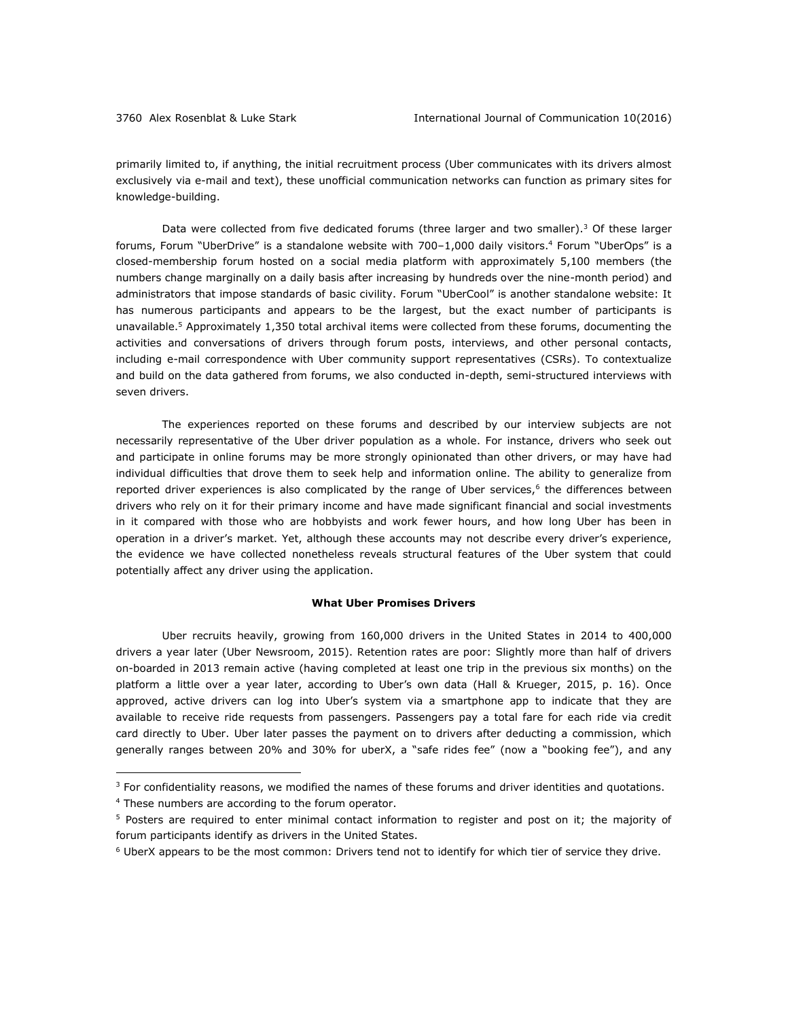primarily limited to, if anything, the initial recruitment process (Uber communicates with its drivers almost exclusively via e-mail and text), these unofficial communication networks can function as primary sites for knowledge-building.

Data were collected from five dedicated forums (three larger and two smaller).<sup>3</sup> Of these larger forums, Forum "UberDrive" is a standalone website with 700-1,000 daily visitors.<sup>4</sup> Forum "UberOps" is a closed-membership forum hosted on a social media platform with approximately 5,100 members (the numbers change marginally on a daily basis after increasing by hundreds over the nine-month period) and administrators that impose standards of basic civility. Forum "UberCool" is another standalone website: It has numerous participants and appears to be the largest, but the exact number of participants is unavailable.<sup>5</sup> Approximately 1,350 total archival items were collected from these forums, documenting the activities and conversations of drivers through forum posts, interviews, and other personal contacts, including e-mail correspondence with Uber community support representatives (CSRs). To contextualize and build on the data gathered from forums, we also conducted in-depth, semi-structured interviews with seven drivers.

The experiences reported on these forums and described by our interview subjects are not necessarily representative of the Uber driver population as a whole. For instance, drivers who seek out and participate in online forums may be more strongly opinionated than other drivers, or may have had individual difficulties that drove them to seek help and information online. The ability to generalize from reported driver experiences is also complicated by the range of Uber services,<sup>6</sup> the differences between drivers who rely on it for their primary income and have made significant financial and social investments in it compared with those who are hobbyists and work fewer hours, and how long Uber has been in operation in a driver's market. Yet, although these accounts may not describe every driver's experience, the evidence we have collected nonetheless reveals structural features of the Uber system that could potentially affect any driver using the application.

## **What Uber Promises Drivers**

Uber recruits heavily, growing from 160,000 drivers in the United States in 2014 to 400,000 drivers a year later (Uber Newsroom, 2015). Retention rates are poor: Slightly more than half of drivers on-boarded in 2013 remain active (having completed at least one trip in the previous six months) on the platform a little over a year later, according to Uber's own data (Hall & Krueger, 2015, p. 16). Once approved, active drivers can log into Uber's system via a smartphone app to indicate that they are available to receive ride requests from passengers. Passengers pay a total fare for each ride via credit card directly to Uber. Uber later passes the payment on to drivers after deducting a commission, which generally ranges between 20% and 30% for uberX, a "safe rides fee" (now a "booking fee"), and any

 $\overline{a}$ 

 $3$  For confidentiality reasons, we modified the names of these forums and driver identities and quotations.

<sup>4</sup> These numbers are according to the forum operator.

<sup>&</sup>lt;sup>5</sup> Posters are required to enter minimal contact information to register and post on it; the majority of forum participants identify as drivers in the United States.

 $6$  UberX appears to be the most common: Drivers tend not to identify for which tier of service they drive.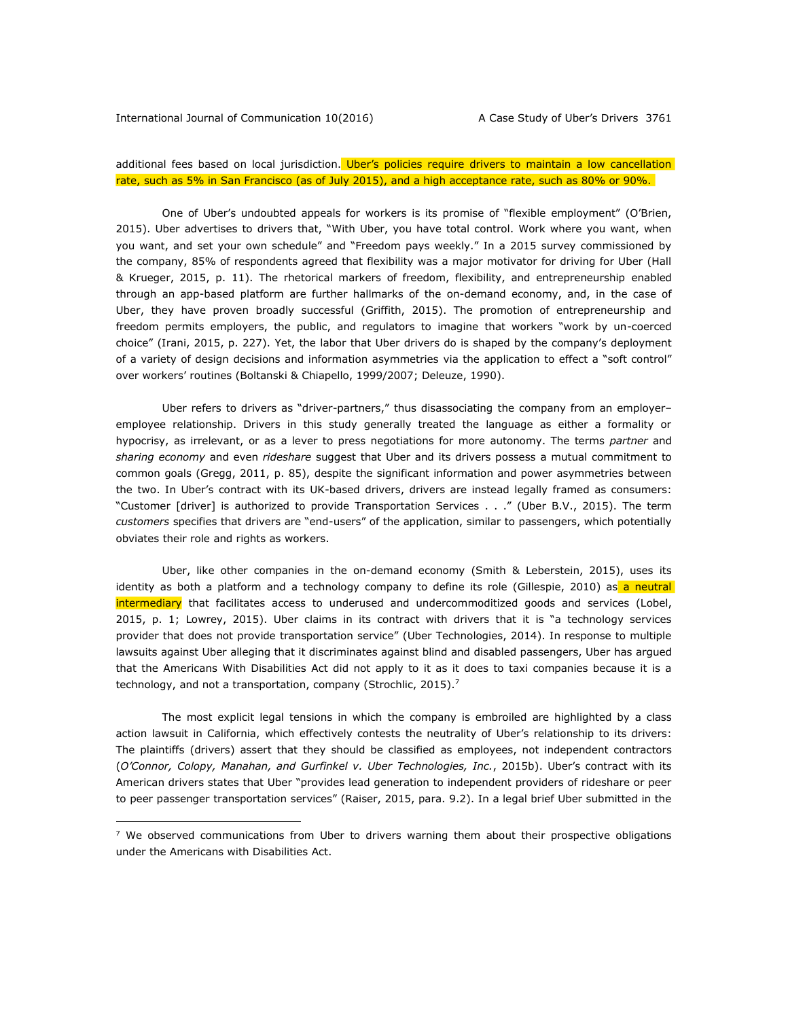$\overline{a}$ 

# additional fees based on local jurisdiction. Uber's policies require drivers to maintain a low cancellation rate, such as 5% in San Francisco (as of July 2015), and a high acceptance rate, such as 80% or 90%.

One of Uber's undoubted appeals for workers is its promise of "flexible employment" (O'Brien, 2015). Uber advertises to drivers that, "With Uber, you have total control. Work where you want, when you want, and set your own schedule" and "Freedom pays weekly." In a 2015 survey commissioned by the company, 85% of respondents agreed that flexibility was a major motivator for driving for Uber (Hall & Krueger, 2015, p. 11). The rhetorical markers of freedom, flexibility, and entrepreneurship enabled through an app-based platform are further hallmarks of the on-demand economy, and, in the case of Uber, they have proven broadly successful (Griffith, 2015). The promotion of entrepreneurship and freedom permits employers, the public, and regulators to imagine that workers "work by un-coerced choice" (Irani, 2015, p. 227). Yet, the labor that Uber drivers do is shaped by the company's deployment of a variety of design decisions and information asymmetries via the application to effect a "soft control" over workers' routines (Boltanski & Chiapello, 1999/2007; Deleuze, 1990).

Uber refers to drivers as "driver-partners," thus disassociating the company from an employer– employee relationship. Drivers in this study generally treated the language as either a formality or hypocrisy, as irrelevant, or as a lever to press negotiations for more autonomy. The terms *partner* and *sharing economy* and even *rideshare* suggest that Uber and its drivers possess a mutual commitment to common goals (Gregg, 2011, p. 85), despite the significant information and power asymmetries between the two. In Uber's contract with its UK-based drivers, drivers are instead legally framed as consumers: "Customer [driver] is authorized to provide Transportation Services . . ." (Uber B.V., 2015). The term *customers* specifies that drivers are "end-users" of the application, similar to passengers, which potentially obviates their role and rights as workers.

Uber, like other companies in the on-demand economy (Smith & Leberstein, 2015), uses its identity as both a platform and a technology company to define its role (Gillespie, 2010) as a neutral intermediary that facilitates access to underused and undercommoditized goods and services (Lobel, 2015, p. 1; Lowrey, 2015). Uber claims in its contract with drivers that it is "a technology services provider that does not provide transportation service" (Uber Technologies, 2014). In response to multiple lawsuits against Uber alleging that it discriminates against blind and disabled passengers, Uber has argued that the Americans With Disabilities Act did not apply to it as it does to taxi companies because it is a technology, and not a transportation, company (Strochlic, 2015).<sup>7</sup>

The most explicit legal tensions in which the company is embroiled are highlighted by a class action lawsuit in California, which effectively contests the neutrality of Uber's relationship to its drivers: The plaintiffs (drivers) assert that they should be classified as employees, not independent contractors (*O'Connor, Colopy, Manahan, and Gurfinkel v. Uber Technologies, Inc.*, 2015b). Uber's contract with its American drivers states that Uber "provides lead generation to independent providers of rideshare or peer to peer passenger transportation services" (Raiser, 2015, para. 9.2). In a legal brief Uber submitted in the

 $<sup>7</sup>$  We observed communications from Uber to drivers warning them about their prospective obligations</sup> under the Americans with Disabilities Act.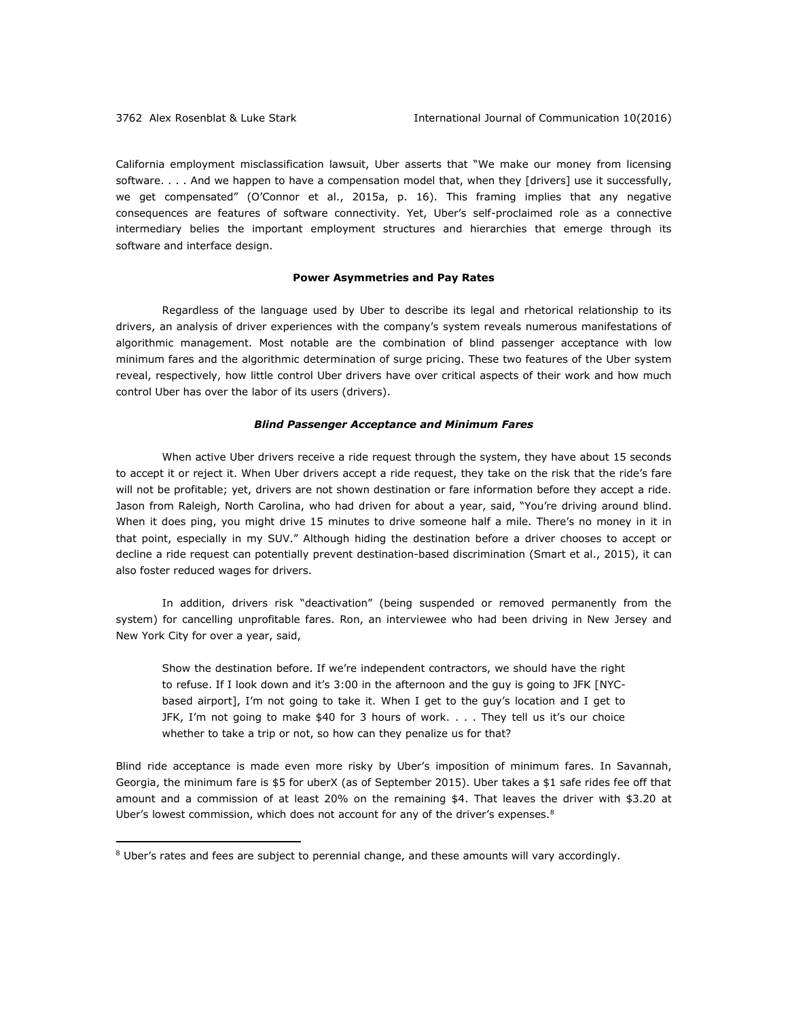$\overline{a}$ 

California employment misclassification lawsuit, Uber asserts that "We make our money from licensing software. . . . And we happen to have a compensation model that, when they [drivers] use it successfully, we get compensated" (O'Connor et al., 2015a, p. 16). This framing implies that any negative consequences are features of software connectivity. Yet, Uber's self-proclaimed role as a connective intermediary belies the important employment structures and hierarchies that emerge through its software and interface design.

#### **Power Asymmetries and Pay Rates**

Regardless of the language used by Uber to describe its legal and rhetorical relationship to its drivers, an analysis of driver experiences with the company's system reveals numerous manifestations of algorithmic management. Most notable are the combination of blind passenger acceptance with low minimum fares and the algorithmic determination of surge pricing. These two features of the Uber system reveal, respectively, how little control Uber drivers have over critical aspects of their work and how much control Uber has over the labor of its users (drivers).

# *Blind Passenger Acceptance and Minimum Fares*

When active Uber drivers receive a ride request through the system, they have about 15 seconds to accept it or reject it. When Uber drivers accept a ride request, they take on the risk that the ride's fare will not be profitable; yet, drivers are not shown destination or fare information before they accept a ride. Jason from Raleigh, North Carolina, who had driven for about a year, said, "You're driving around blind. When it does ping, you might drive 15 minutes to drive someone half a mile. There's no money in it in that point, especially in my SUV." Although hiding the destination before a driver chooses to accept or decline a ride request can potentially prevent destination-based discrimination (Smart et al., 2015), it can also foster reduced wages for drivers.

In addition, drivers risk "deactivation" (being suspended or removed permanently from the system) for cancelling unprofitable fares. Ron, an interviewee who had been driving in New Jersey and New York City for over a year, said,

Show the destination before. If we're independent contractors, we should have the right to refuse. If I look down and it's 3:00 in the afternoon and the guy is going to JFK [NYCbased airport], I'm not going to take it. When I get to the guy's location and I get to JFK, I'm not going to make \$40 for 3 hours of work. . . . They tell us it's our choice whether to take a trip or not, so how can they penalize us for that?

Blind ride acceptance is made even more risky by Uber's imposition of minimum fares. In Savannah, Georgia, the minimum fare is \$5 for uberX (as of September 2015). Uber takes a \$1 safe rides fee off that amount and a commission of at least 20% on the remaining \$4. That leaves the driver with \$3.20 at Uber's lowest commission, which does not account for any of the driver's expenses. $8$ 

<sup>&</sup>lt;sup>8</sup> Uber's rates and fees are subject to perennial change, and these amounts will vary accordingly.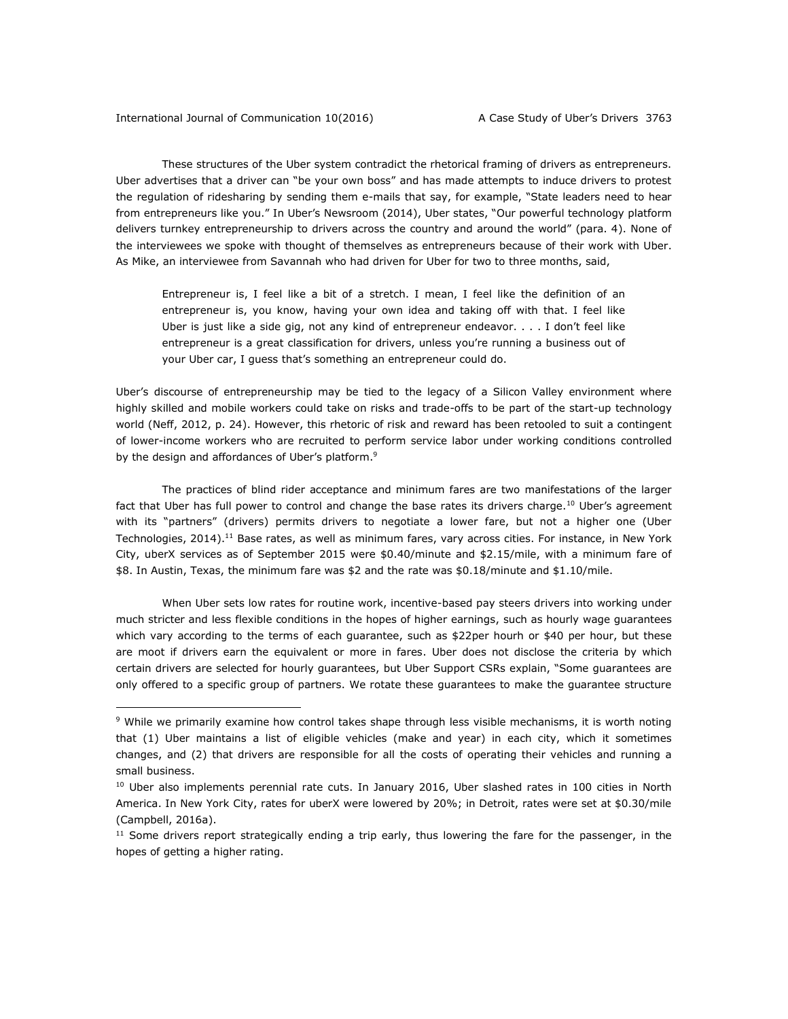$\overline{a}$ 

These structures of the Uber system contradict the rhetorical framing of drivers as entrepreneurs. Uber advertises that a driver can "be your own boss" and has made attempts to induce drivers to protest the regulation of ridesharing by sending them e-mails that say, for example, "State leaders need to hear from entrepreneurs like you." In Uber's Newsroom (2014), Uber states, "Our powerful technology platform delivers turnkey entrepreneurship to drivers across the country and around the world" (para. 4). None of the interviewees we spoke with thought of themselves as entrepreneurs because of their work with Uber. As Mike, an interviewee from Savannah who had driven for Uber for two to three months, said,

Entrepreneur is, I feel like a bit of a stretch. I mean, I feel like the definition of an entrepreneur is, you know, having your own idea and taking off with that. I feel like Uber is just like a side gig, not any kind of entrepreneur endeavor. . . . I don't feel like entrepreneur is a great classification for drivers, unless you're running a business out of your Uber car, I guess that's something an entrepreneur could do.

Uber's discourse of entrepreneurship may be tied to the legacy of a Silicon Valley environment where highly skilled and mobile workers could take on risks and trade-offs to be part of the start-up technology world (Neff, 2012, p. 24). However, this rhetoric of risk and reward has been retooled to suit a contingent of lower-income workers who are recruited to perform service labor under working conditions controlled by the design and affordances of Uber's platform.<sup>9</sup>

The practices of blind rider acceptance and minimum fares are two manifestations of the larger fact that Uber has full power to control and change the base rates its drivers charge.<sup>10</sup> Uber's agreement with its "partners" (drivers) permits drivers to negotiate a lower fare, but not a higher one (Uber Technologies, 2014).<sup>11</sup> Base rates, as well as minimum fares, vary across cities. For instance, in New York City, uberX services as of September 2015 were \$0.40/minute and \$2.15/mile, with a minimum fare of \$8. In Austin, Texas, the minimum fare was \$2 and the rate was \$0.18/minute and \$1.10/mile.

When Uber sets low rates for routine work, incentive-based pay steers drivers into working under much stricter and less flexible conditions in the hopes of higher earnings, such as hourly wage guarantees which vary according to the terms of each guarantee, such as \$22per hourh or \$40 per hour, but these are moot if drivers earn the equivalent or more in fares. Uber does not disclose the criteria by which certain drivers are selected for hourly guarantees, but Uber Support CSRs explain, "Some guarantees are only offered to a specific group of partners. We rotate these guarantees to make the guarantee structure

<sup>&</sup>lt;sup>9</sup> While we primarily examine how control takes shape through less visible mechanisms, it is worth noting that (1) Uber maintains a list of eligible vehicles (make and year) in each city, which it sometimes changes, and (2) that drivers are responsible for all the costs of operating their vehicles and running a small business.

<sup>&</sup>lt;sup>10</sup> Uber also implements perennial rate cuts. In January 2016, Uber slashed rates in 100 cities in North America. In New York City, rates for uberX were lowered by 20%; in Detroit, rates were set at \$0.30/mile (Campbell, 2016a).

 $11$  Some drivers report strategically ending a trip early, thus lowering the fare for the passenger, in the hopes of getting a higher rating.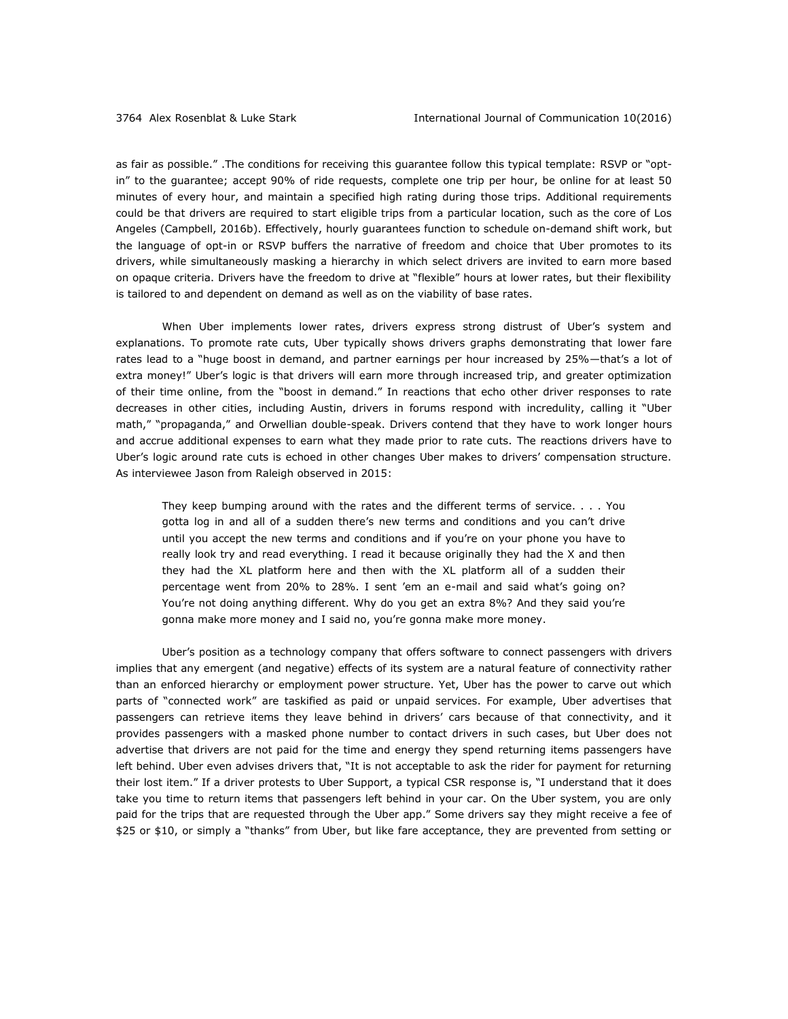as fair as possible." .The conditions for receiving this guarantee follow this typical template: RSVP or "optin" to the guarantee; accept 90% of ride requests, complete one trip per hour, be online for at least 50 minutes of every hour, and maintain a specified high rating during those trips. Additional requirements could be that drivers are required to start eligible trips from a particular location, such as the core of Los Angeles (Campbell, 2016b). Effectively, hourly guarantees function to schedule on-demand shift work, but the language of opt-in or RSVP buffers the narrative of freedom and choice that Uber promotes to its drivers, while simultaneously masking a hierarchy in which select drivers are invited to earn more based on opaque criteria. Drivers have the freedom to drive at "flexible" hours at lower rates, but their flexibility is tailored to and dependent on demand as well as on the viability of base rates.

When Uber implements lower rates, drivers express strong distrust of Uber's system and explanations. To promote rate cuts, Uber typically shows drivers graphs demonstrating that lower fare rates lead to a "huge boost in demand, and partner earnings per hour increased by 25%—that's a lot of extra money!" Uber's logic is that drivers will earn more through increased trip, and greater optimization of their time online, from the "boost in demand." In reactions that echo other driver responses to rate decreases in other cities, including Austin, drivers in forums respond with incredulity, calling it "Uber math," "propaganda," and Orwellian double-speak. Drivers contend that they have to work longer hours and accrue additional expenses to earn what they made prior to rate cuts. The reactions drivers have to Uber's logic around rate cuts is echoed in other changes Uber makes to drivers' compensation structure. As interviewee Jason from Raleigh observed in 2015:

They keep bumping around with the rates and the different terms of service. . . . You gotta log in and all of a sudden there's new terms and conditions and you can't drive until you accept the new terms and conditions and if you're on your phone you have to really look try and read everything. I read it because originally they had the X and then they had the XL platform here and then with the XL platform all of a sudden their percentage went from 20% to 28%. I sent 'em an e-mail and said what's going on? You're not doing anything different. Why do you get an extra 8%? And they said you're gonna make more money and I said no, you're gonna make more money.

Uber's position as a technology company that offers software to connect passengers with drivers implies that any emergent (and negative) effects of its system are a natural feature of connectivity rather than an enforced hierarchy or employment power structure. Yet, Uber has the power to carve out which parts of "connected work" are taskified as paid or unpaid services. For example, Uber advertises that passengers can retrieve items they leave behind in drivers' cars because of that connectivity, and it provides passengers with a masked phone number to contact drivers in such cases, but Uber does not advertise that drivers are not paid for the time and energy they spend returning items passengers have left behind. Uber even advises drivers that, "It is not acceptable to ask the rider for payment for returning their lost item." If a driver protests to Uber Support, a typical CSR response is, "I understand that it does take you time to return items that passengers left behind in your car. On the Uber system, you are only paid for the trips that are requested through the Uber app." Some drivers say they might receive a fee of \$25 or \$10, or simply a "thanks" from Uber, but like fare acceptance, they are prevented from setting or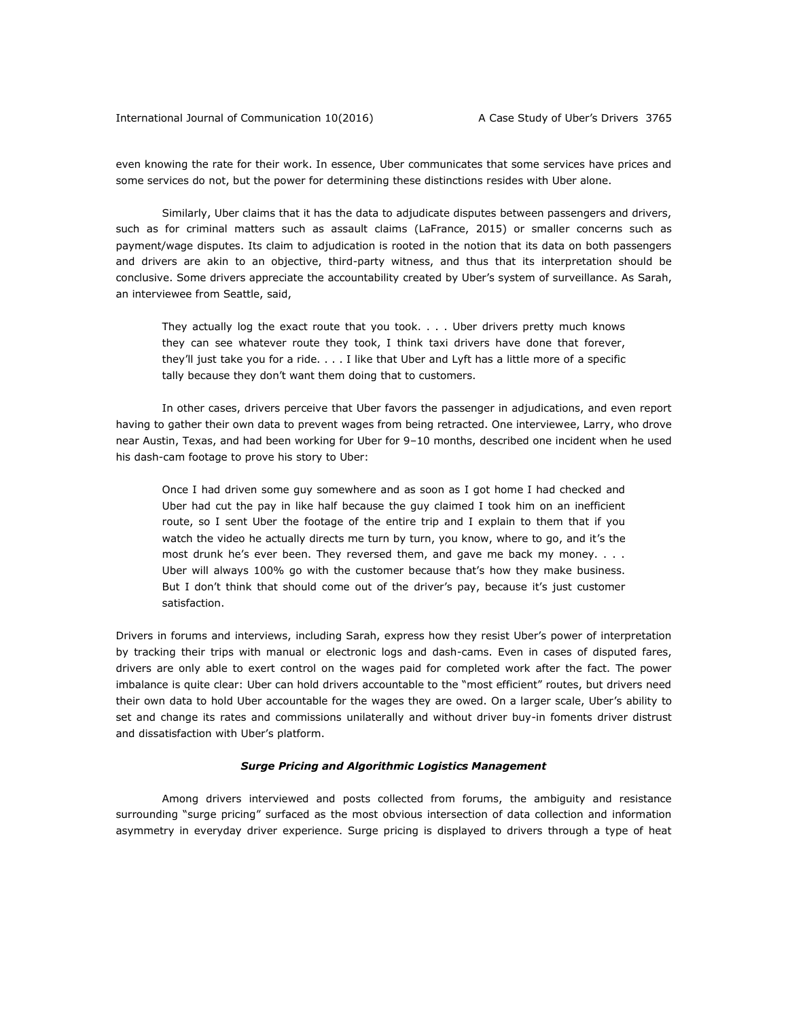#### International Journal of Communication 10(2016) A Case Study of Uber's Drivers 3765

even knowing the rate for their work. In essence, Uber communicates that some services have prices and some services do not, but the power for determining these distinctions resides with Uber alone.

Similarly, Uber claims that it has the data to adjudicate disputes between passengers and drivers, such as for criminal matters such as assault claims (LaFrance, 2015) or smaller concerns such as payment/wage disputes. Its claim to adjudication is rooted in the notion that its data on both passengers and drivers are akin to an objective, third-party witness, and thus that its interpretation should be conclusive. Some drivers appreciate the accountability created by Uber's system of surveillance. As Sarah, an interviewee from Seattle, said,

They actually log the exact route that you took. . . . Uber drivers pretty much knows they can see whatever route they took, I think taxi drivers have done that forever, they'll just take you for a ride. . . . I like that Uber and Lyft has a little more of a specific tally because they don't want them doing that to customers.

In other cases, drivers perceive that Uber favors the passenger in adjudications, and even report having to gather their own data to prevent wages from being retracted. One interviewee, Larry, who drove near Austin, Texas, and had been working for Uber for 9–10 months, described one incident when he used his dash-cam footage to prove his story to Uber:

Once I had driven some guy somewhere and as soon as I got home I had checked and Uber had cut the pay in like half because the guy claimed I took him on an inefficient route, so I sent Uber the footage of the entire trip and I explain to them that if you watch the video he actually directs me turn by turn, you know, where to go, and it's the most drunk he's ever been. They reversed them, and gave me back my money. . . . Uber will always 100% go with the customer because that's how they make business. But I don't think that should come out of the driver's pay, because it's just customer satisfaction.

Drivers in forums and interviews, including Sarah, express how they resist Uber's power of interpretation by tracking their trips with manual or electronic logs and dash-cams. Even in cases of disputed fares, drivers are only able to exert control on the wages paid for completed work after the fact. The power imbalance is quite clear: Uber can hold drivers accountable to the "most efficient" routes, but drivers need their own data to hold Uber accountable for the wages they are owed. On a larger scale, Uber's ability to set and change its rates and commissions unilaterally and without driver buy-in foments driver distrust and dissatisfaction with Uber's platform.

#### *Surge Pricing and Algorithmic Logistics Management*

Among drivers interviewed and posts collected from forums, the ambiguity and resistance surrounding "surge pricing" surfaced as the most obvious intersection of data collection and information asymmetry in everyday driver experience. Surge pricing is displayed to drivers through a type of heat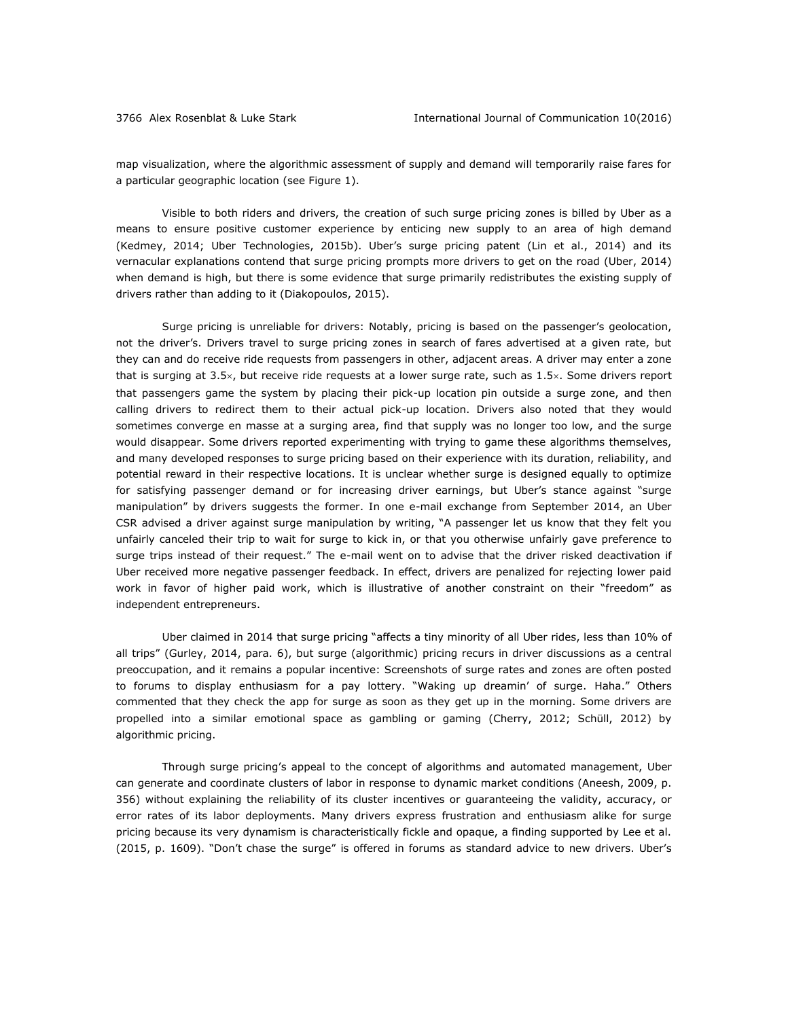map visualization, where the algorithmic assessment of supply and demand will temporarily raise fares for a particular geographic location (see Figure 1).

Visible to both riders and drivers, the creation of such surge pricing zones is billed by Uber as a means to ensure positive customer experience by enticing new supply to an area of high demand (Kedmey, 2014; Uber Technologies, 2015b). Uber's surge pricing patent (Lin et al., 2014) and its vernacular explanations contend that surge pricing prompts more drivers to get on the road (Uber, 2014) when demand is high, but there is some evidence that surge primarily redistributes the existing supply of drivers rather than adding to it (Diakopoulos, 2015).

Surge pricing is unreliable for drivers: Notably, pricing is based on the passenger's geolocation, not the driver's. Drivers travel to surge pricing zones in search of fares advertised at a given rate, but they can and do receive ride requests from passengers in other, adjacent areas. A driver may enter a zone that is surging at  $3.5x$ , but receive ride requests at a lower surge rate, such as  $1.5x$ . Some drivers report that passengers game the system by placing their pick-up location pin outside a surge zone, and then calling drivers to redirect them to their actual pick-up location. Drivers also noted that they would sometimes converge en masse at a surging area, find that supply was no longer too low, and the surge would disappear. Some drivers reported experimenting with trying to game these algorithms themselves, and many developed responses to surge pricing based on their experience with its duration, reliability, and potential reward in their respective locations. It is unclear whether surge is designed equally to optimize for satisfying passenger demand or for increasing driver earnings, but Uber's stance against "surge manipulation" by drivers suggests the former. In one e-mail exchange from September 2014, an Uber CSR advised a driver against surge manipulation by writing, "A passenger let us know that they felt you unfairly canceled their trip to wait for surge to kick in, or that you otherwise unfairly gave preference to surge trips instead of their request." The e-mail went on to advise that the driver risked deactivation if Uber received more negative passenger feedback. In effect, drivers are penalized for rejecting lower paid work in favor of higher paid work, which is illustrative of another constraint on their "freedom" as independent entrepreneurs.

Uber claimed in 2014 that surge pricing "affects a tiny minority of all Uber rides, less than 10% of all trips" (Gurley, 2014, para. 6), but surge (algorithmic) pricing recurs in driver discussions as a central preoccupation, and it remains a popular incentive: Screenshots of surge rates and zones are often posted to forums to display enthusiasm for a pay lottery. "Waking up dreamin' of surge. Haha." Others commented that they check the app for surge as soon as they get up in the morning. Some drivers are propelled into a similar emotional space as gambling or gaming (Cherry, 2012; Schüll, 2012) by algorithmic pricing.

Through surge pricing's appeal to the concept of algorithms and automated management, Uber can generate and coordinate clusters of labor in response to dynamic market conditions (Aneesh, 2009, p. 356) without explaining the reliability of its cluster incentives or guaranteeing the validity, accuracy, or error rates of its labor deployments. Many drivers express frustration and enthusiasm alike for surge pricing because its very dynamism is characteristically fickle and opaque, a finding supported by Lee et al. (2015, p. 1609). "Don't chase the surge" is offered in forums as standard advice to new drivers. Uber's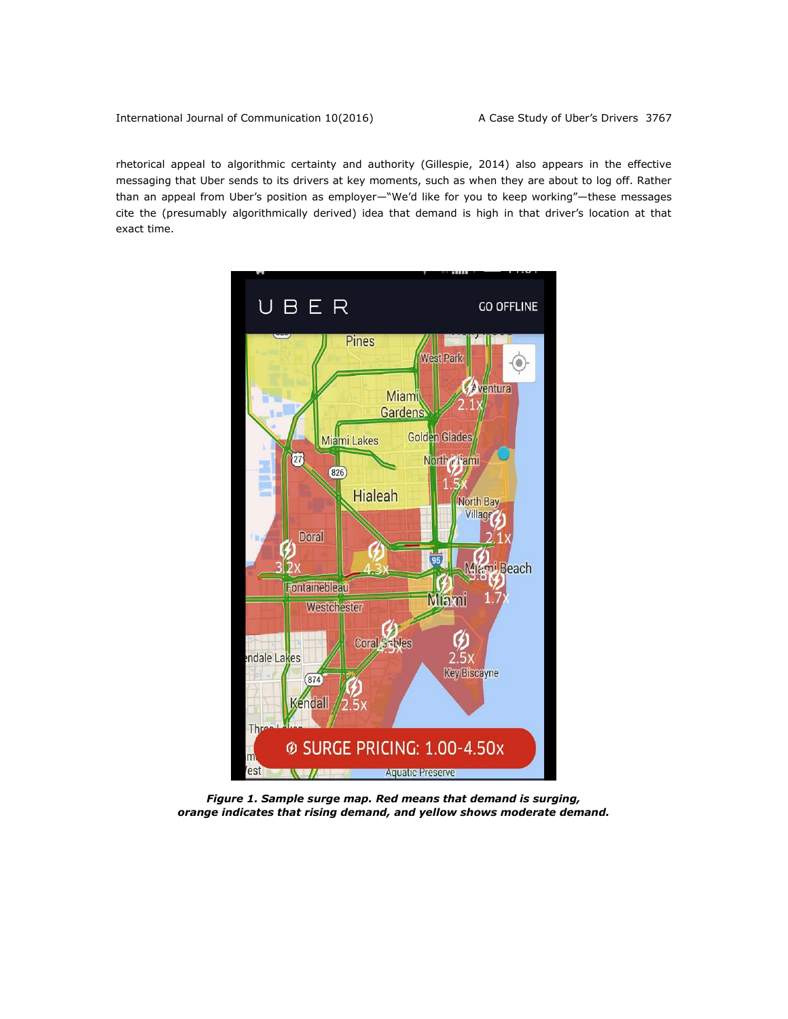# International Journal of Communication 10(2016) A Case Study of Uber's Drivers 3767

rhetorical appeal to algorithmic certainty and authority (Gillespie, 2014) also appears in the effective messaging that Uber sends to its drivers at key moments, such as when they are about to log off. Rather than an appeal from Uber's position as employer—"We'd like for you to keep working"—these messages cite the (presumably algorithmically derived) idea that demand is high in that driver's location at that exact time.



*Figure 1. Sample surge map. Red means that demand is surging, orange indicates that rising demand, and yellow shows moderate demand.*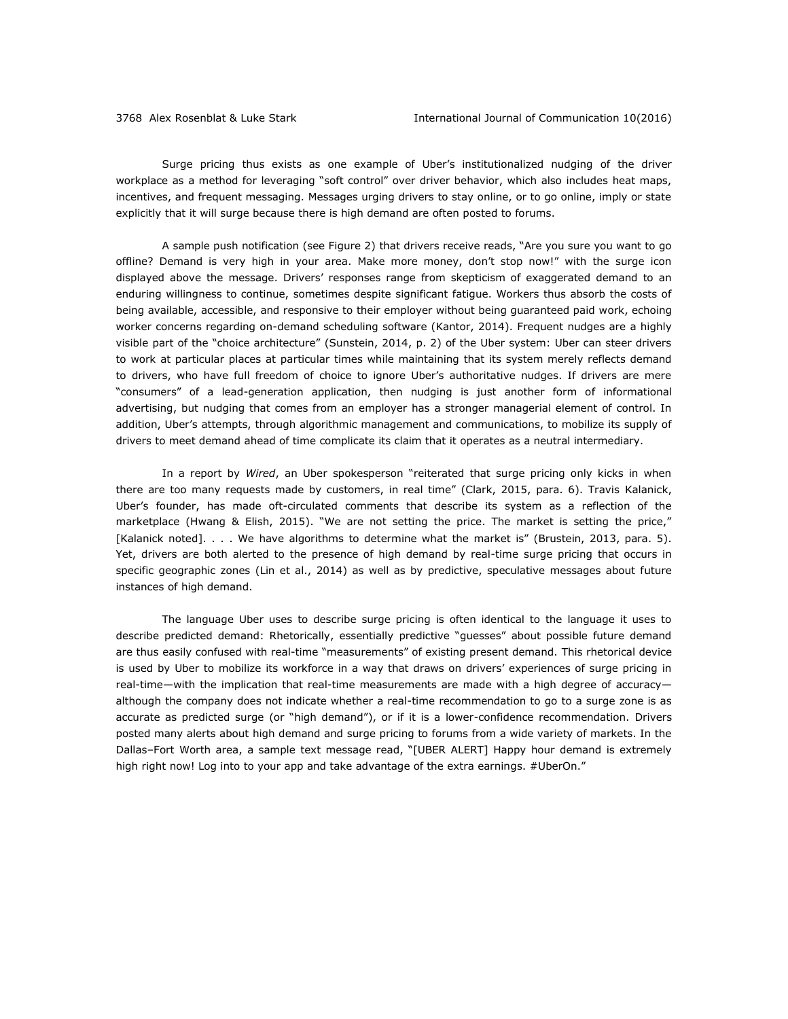Surge pricing thus exists as one example of Uber's institutionalized nudging of the driver workplace as a method for leveraging "soft control" over driver behavior, which also includes heat maps, incentives, and frequent messaging. Messages urging drivers to stay online, or to go online, imply or state explicitly that it will surge because there is high demand are often posted to forums.

A sample push notification (see Figure 2) that drivers receive reads, "Are you sure you want to go offline? Demand is very high in your area. Make more money, don't stop now!" with the surge icon displayed above the message. Drivers' responses range from skepticism of exaggerated demand to an enduring willingness to continue, sometimes despite significant fatigue. Workers thus absorb the costs of being available, accessible, and responsive to their employer without being guaranteed paid work, echoing worker concerns regarding on-demand scheduling software (Kantor, 2014). Frequent nudges are a highly visible part of the "choice architecture" (Sunstein, 2014, p. 2) of the Uber system: Uber can steer drivers to work at particular places at particular times while maintaining that its system merely reflects demand to drivers, who have full freedom of choice to ignore Uber's authoritative nudges. If drivers are mere "consumers" of a lead-generation application, then nudging is just another form of informational advertising, but nudging that comes from an employer has a stronger managerial element of control. In addition, Uber's attempts, through algorithmic management and communications, to mobilize its supply of drivers to meet demand ahead of time complicate its claim that it operates as a neutral intermediary.

In a report by *Wired*, an Uber spokesperson "reiterated that surge pricing only kicks in when there are too many requests made by customers, in real time" (Clark, 2015, para. 6). Travis Kalanick, Uber's founder, has made oft-circulated comments that describe its system as a reflection of the marketplace (Hwang & Elish, 2015). "We are not setting the price. The market is setting the price," [Kalanick noted]. . . . We have algorithms to determine what the market is" (Brustein, 2013, para. 5). Yet, drivers are both alerted to the presence of high demand by real-time surge pricing that occurs in specific geographic zones (Lin et al., 2014) as well as by predictive, speculative messages about future instances of high demand.

The language Uber uses to describe surge pricing is often identical to the language it uses to describe predicted demand: Rhetorically, essentially predictive "guesses" about possible future demand are thus easily confused with real-time "measurements" of existing present demand. This rhetorical device is used by Uber to mobilize its workforce in a way that draws on drivers' experiences of surge pricing in real-time—with the implication that real-time measurements are made with a high degree of accuracy although the company does not indicate whether a real-time recommendation to go to a surge zone is as accurate as predicted surge (or "high demand"), or if it is a lower-confidence recommendation. Drivers posted many alerts about high demand and surge pricing to forums from a wide variety of markets. In the Dallas–Fort Worth area, a sample text message read, "[UBER ALERT] Happy hour demand is extremely high right now! Log into to your app and take advantage of the extra earnings. #UberOn."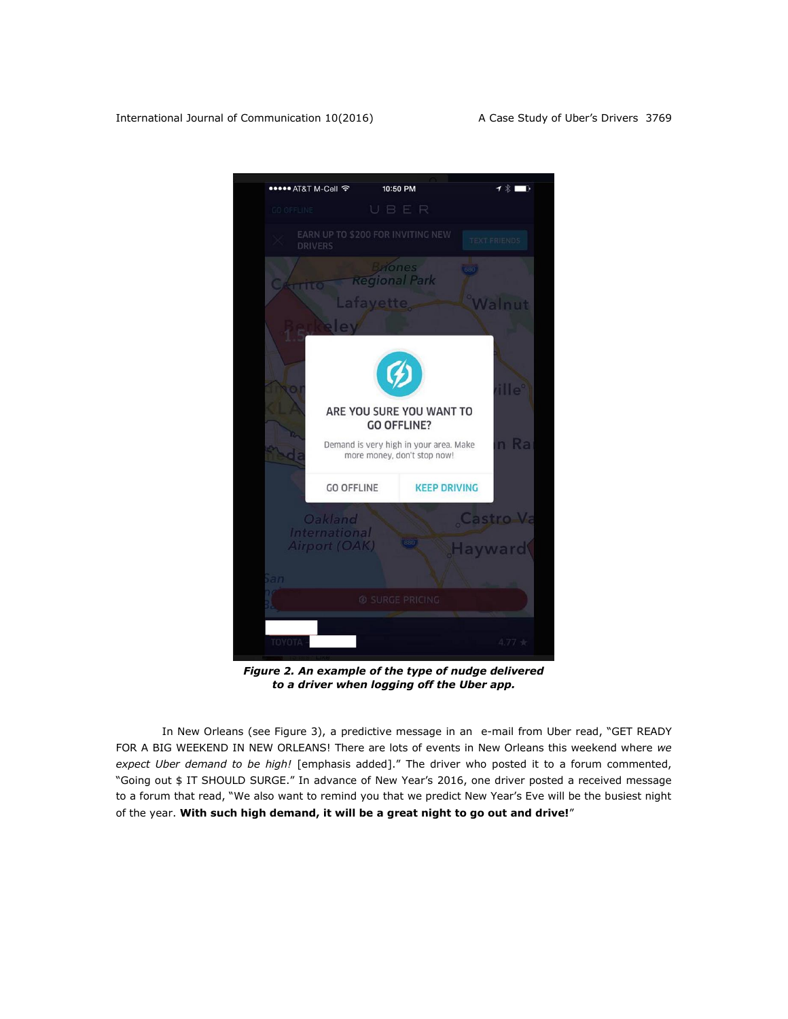

*Figure 2. An example of the type of nudge delivered to a driver when logging off the Uber app.*

In New Orleans (see Figure 3), a predictive message in an e-mail from Uber read, "GET READY FOR A BIG WEEKEND IN NEW ORLEANS! There are lots of events in New Orleans this weekend where *we expect Uber demand to be high!* [emphasis added]." The driver who posted it to a forum commented, "Going out \$ IT SHOULD SURGE." In advance of New Year's 2016, one driver posted a received message to a forum that read, "We also want to remind you that we predict New Year's Eve will be the busiest night of the year. **With such high demand, it will be a great night to go out and drive!**"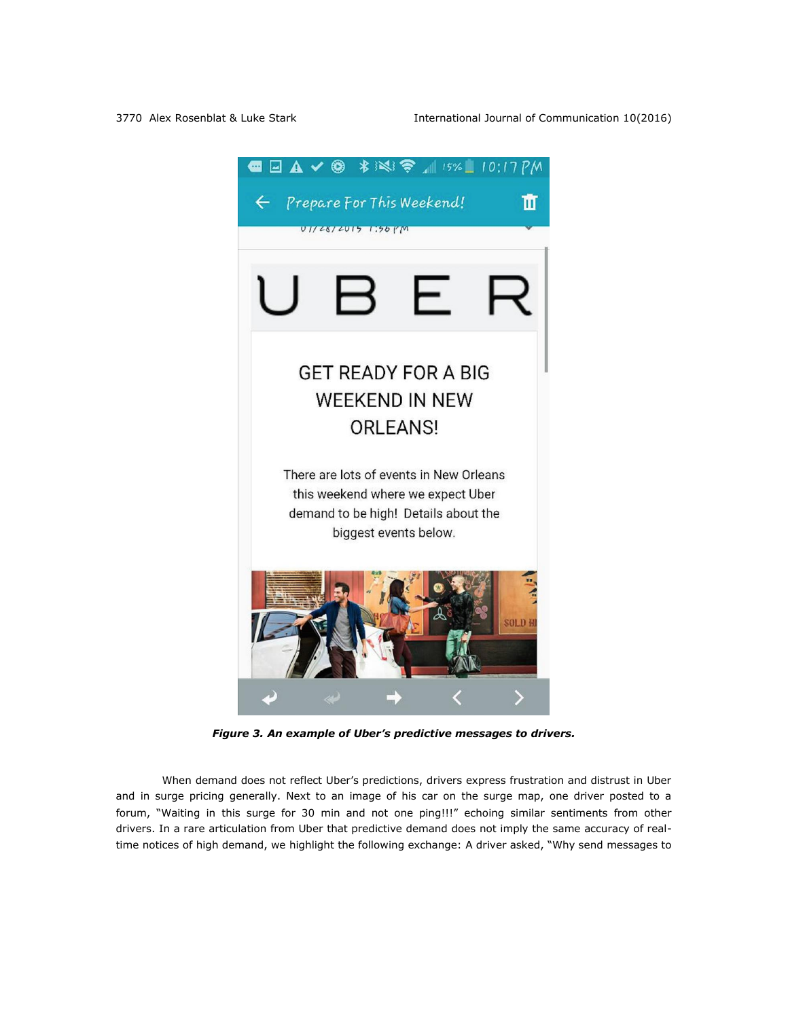

*Figure 3. An example of Uber's predictive messages to drivers.*

When demand does not reflect Uber's predictions, drivers express frustration and distrust in Uber and in surge pricing generally. Next to an image of his car on the surge map, one driver posted to a forum, "Waiting in this surge for 30 min and not one ping!!!" echoing similar sentiments from other drivers. In a rare articulation from Uber that predictive demand does not imply the same accuracy of realtime notices of high demand, we highlight the following exchange: A driver asked, "Why send messages to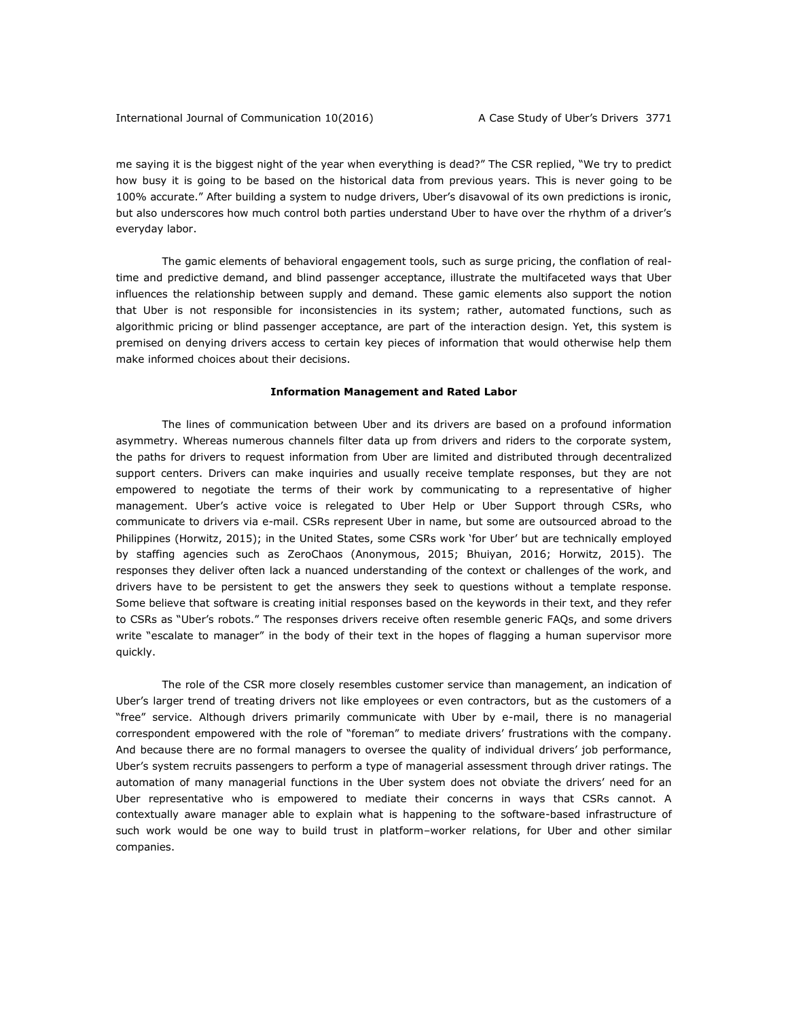me saying it is the biggest night of the year when everything is dead?" The CSR replied, "We try to predict how busy it is going to be based on the historical data from previous years. This is never going to be 100% accurate." After building a system to nudge drivers, Uber's disavowal of its own predictions is ironic, but also underscores how much control both parties understand Uber to have over the rhythm of a driver's everyday labor.

The gamic elements of behavioral engagement tools, such as surge pricing, the conflation of realtime and predictive demand, and blind passenger acceptance, illustrate the multifaceted ways that Uber influences the relationship between supply and demand. These gamic elements also support the notion that Uber is not responsible for inconsistencies in its system; rather, automated functions, such as algorithmic pricing or blind passenger acceptance, are part of the interaction design. Yet, this system is premised on denying drivers access to certain key pieces of information that would otherwise help them make informed choices about their decisions.

### **Information Management and Rated Labor**

The lines of communication between Uber and its drivers are based on a profound information asymmetry. Whereas numerous channels filter data up from drivers and riders to the corporate system, the paths for drivers to request information from Uber are limited and distributed through decentralized support centers. Drivers can make inquiries and usually receive template responses, but they are not empowered to negotiate the terms of their work by communicating to a representative of higher management. Uber's active voice is relegated to Uber Help or Uber Support through CSRs, who communicate to drivers via e-mail. CSRs represent Uber in name, but some are outsourced abroad to the Philippines (Horwitz, 2015); in the United States, some CSRs work 'for Uber' but are technically employed by staffing agencies such as ZeroChaos (Anonymous, 2015; Bhuiyan, 2016; Horwitz, 2015). The responses they deliver often lack a nuanced understanding of the context or challenges of the work, and drivers have to be persistent to get the answers they seek to questions without a template response. Some believe that software is creating initial responses based on the keywords in their text, and they refer to CSRs as "Uber's robots." The responses drivers receive often resemble generic FAQs, and some drivers write "escalate to manager" in the body of their text in the hopes of flagging a human supervisor more quickly.

The role of the CSR more closely resembles customer service than management, an indication of Uber's larger trend of treating drivers not like employees or even contractors, but as the customers of a "free" service. Although drivers primarily communicate with Uber by e-mail, there is no managerial correspondent empowered with the role of "foreman" to mediate drivers' frustrations with the company. And because there are no formal managers to oversee the quality of individual drivers' job performance, Uber's system recruits passengers to perform a type of managerial assessment through driver ratings. The automation of many managerial functions in the Uber system does not obviate the drivers' need for an Uber representative who is empowered to mediate their concerns in ways that CSRs cannot. A contextually aware manager able to explain what is happening to the software-based infrastructure of such work would be one way to build trust in platform–worker relations, for Uber and other similar companies.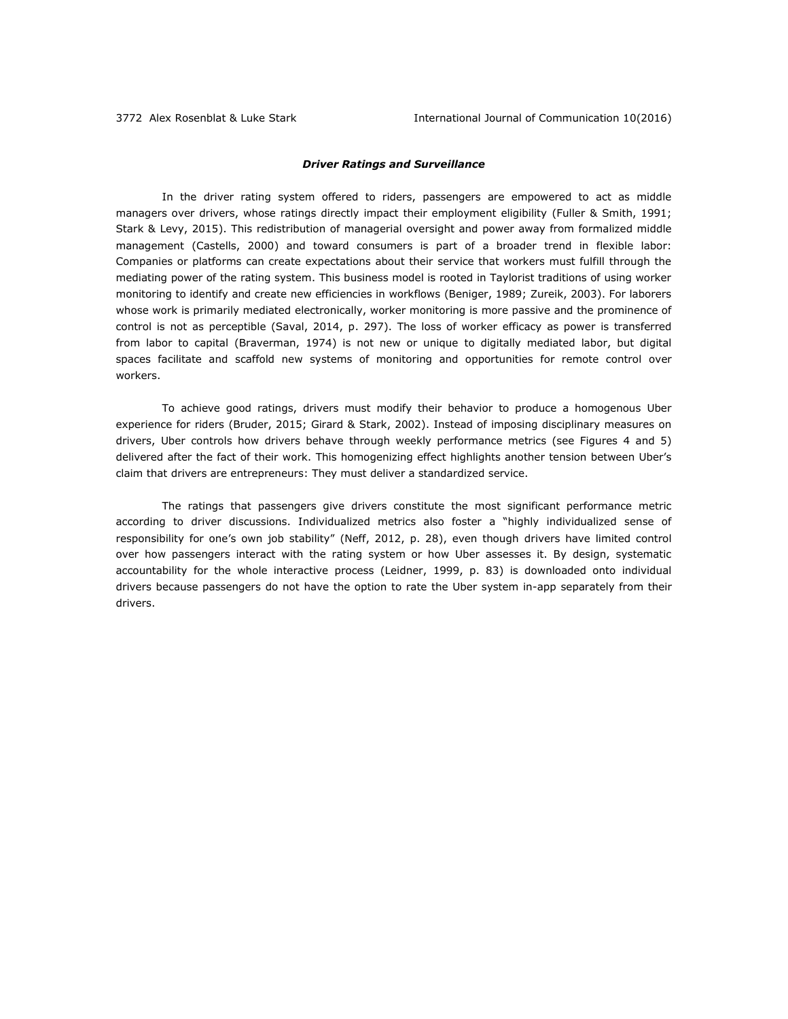#### *Driver Ratings and Surveillance*

In the driver rating system offered to riders, passengers are empowered to act as middle managers over drivers, whose ratings directly impact their employment eligibility (Fuller & Smith, 1991; Stark & Levy, 2015). This redistribution of managerial oversight and power away from formalized middle management (Castells, 2000) and toward consumers is part of a broader trend in flexible labor: Companies or platforms can create expectations about their service that workers must fulfill through the mediating power of the rating system. This business model is rooted in Taylorist traditions of using worker monitoring to identify and create new efficiencies in workflows (Beniger, 1989; Zureik, 2003). For laborers whose work is primarily mediated electronically, worker monitoring is more passive and the prominence of control is not as perceptible (Saval, 2014, p. 297). The loss of worker efficacy as power is transferred from labor to capital (Braverman, 1974) is not new or unique to digitally mediated labor, but digital spaces facilitate and scaffold new systems of monitoring and opportunities for remote control over workers.

To achieve good ratings, drivers must modify their behavior to produce a homogenous Uber experience for riders (Bruder, 2015; Girard & Stark, 2002). Instead of imposing disciplinary measures on drivers, Uber controls how drivers behave through weekly performance metrics (see Figures 4 and 5) delivered after the fact of their work. This homogenizing effect highlights another tension between Uber's claim that drivers are entrepreneurs: They must deliver a standardized service.

The ratings that passengers give drivers constitute the most significant performance metric according to driver discussions. Individualized metrics also foster a "highly individualized sense of responsibility for one's own job stability" (Neff, 2012, p. 28), even though drivers have limited control over how passengers interact with the rating system or how Uber assesses it. By design, systematic accountability for the whole interactive process (Leidner, 1999, p. 83) is downloaded onto individual drivers because passengers do not have the option to rate the Uber system in-app separately from their drivers.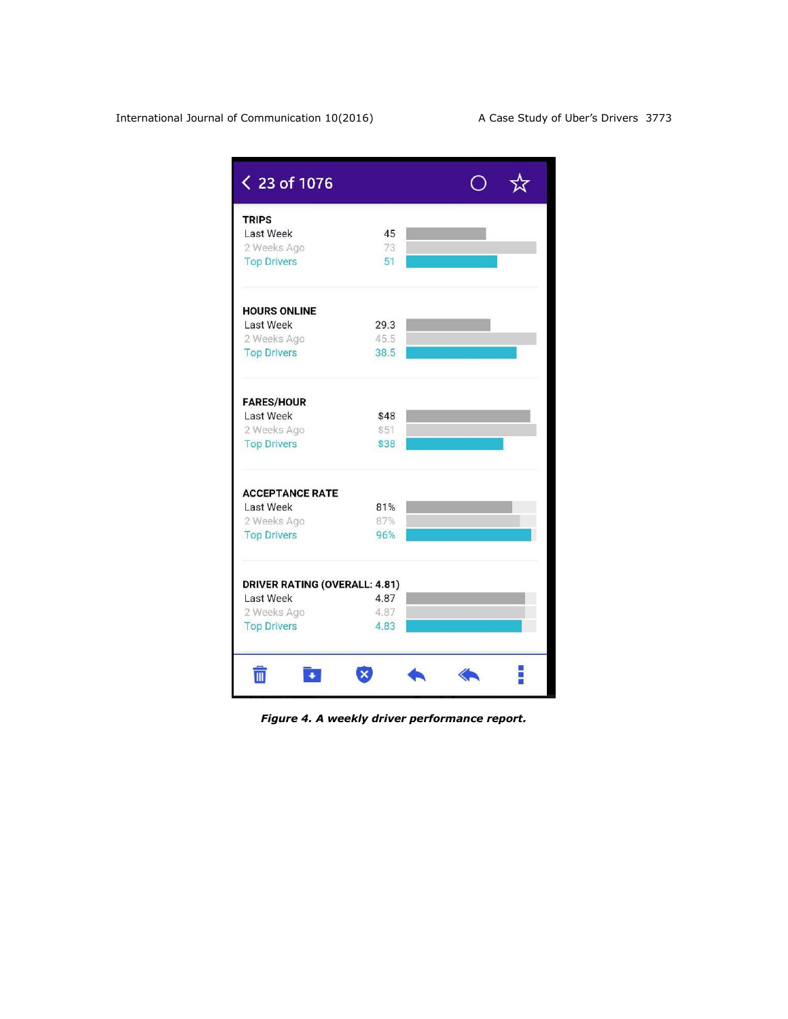| <b>く23 of 1076</b>            |      |   |
|-------------------------------|------|---|
| <b>TRIPS</b>                  |      |   |
| Last Week                     | 45   |   |
| 2 Weeks Ago                   | 73   |   |
| <b>Top Drivers</b>            | 51   |   |
| <b>HOURS ONLINE</b>           |      |   |
| Last Week                     | 29.3 |   |
| 2 Weeks Ago                   | 45.5 |   |
| <b>Top Drivers</b>            | 38.5 |   |
| <b>FARES/HOUR</b>             |      |   |
| Last Week                     | \$48 |   |
| 2 Weeks Ago                   | \$51 |   |
| <b>Top Drivers</b>            | \$38 |   |
| <b>ACCEPTANCE RATE</b>        |      |   |
| <b>Last Week</b>              | 81%  |   |
| 2 Weeks Ago                   | 87%  |   |
| <b>Top Drivers</b>            | 96%  |   |
| DRIVER RATING (OVERALL: 4.81) |      |   |
| Last Week                     | 4.87 |   |
| 2 Weeks Ago                   | 4.87 |   |
| <b>Top Drivers</b>            | 4.83 |   |
| m<br>$\bullet$                | ×    | İ |

*Figure 4. A weekly driver performance report.*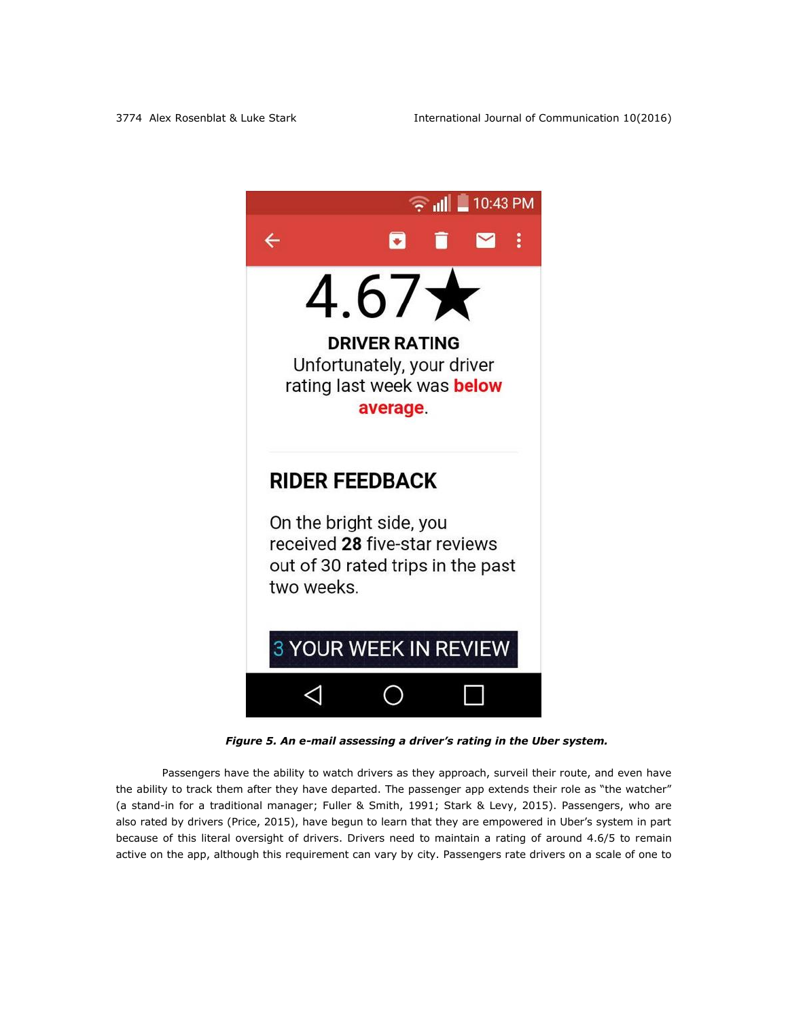

*Figure 5. An e-mail assessing a driver's rating in the Uber system.*

Passengers have the ability to watch drivers as they approach, surveil their route, and even have the ability to track them after they have departed. The passenger app extends their role as "the watcher" (a stand-in for a traditional manager; Fuller & Smith, 1991; Stark & Levy, 2015). Passengers, who are also rated by drivers (Price, 2015), have begun to learn that they are empowered in Uber's system in part because of this literal oversight of drivers. Drivers need to maintain a rating of around 4.6/5 to remain active on the app, although this requirement can vary by city. Passengers rate drivers on a scale of one to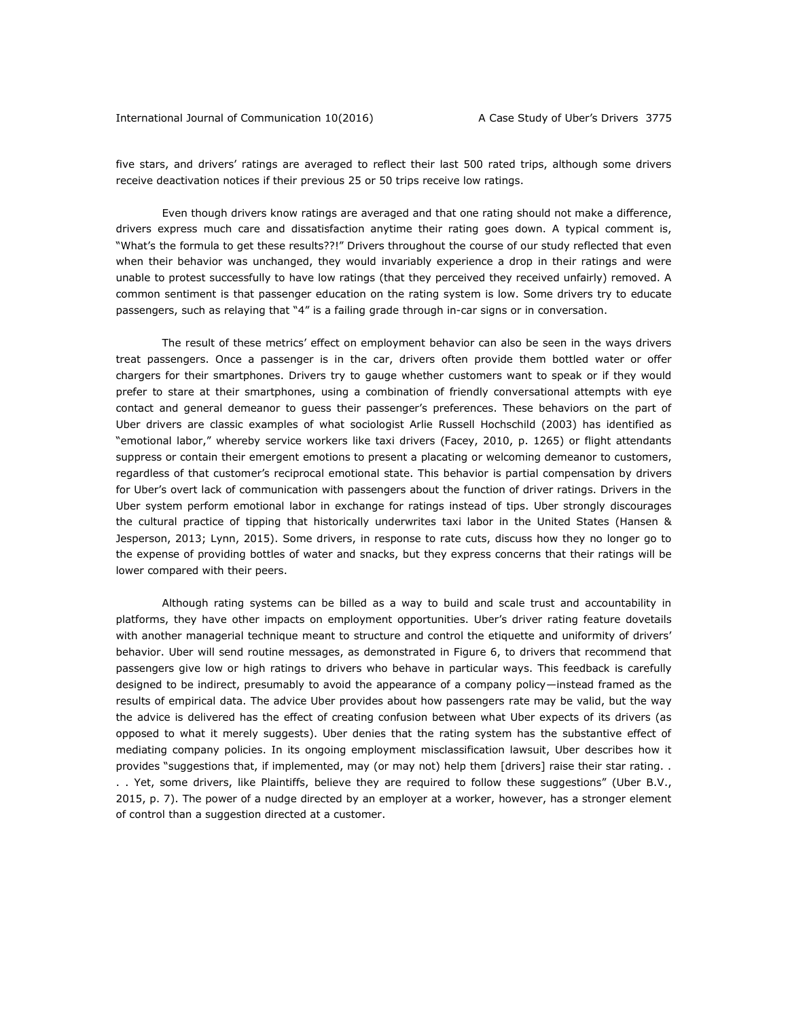five stars, and drivers' ratings are averaged to reflect their last 500 rated trips, although some drivers receive deactivation notices if their previous 25 or 50 trips receive low ratings.

Even though drivers know ratings are averaged and that one rating should not make a difference, drivers express much care and dissatisfaction anytime their rating goes down. A typical comment is, "What's the formula to get these results??!" Drivers throughout the course of our study reflected that even when their behavior was unchanged, they would invariably experience a drop in their ratings and were unable to protest successfully to have low ratings (that they perceived they received unfairly) removed. A common sentiment is that passenger education on the rating system is low. Some drivers try to educate passengers, such as relaying that "4" is a failing grade through in-car signs or in conversation.

The result of these metrics' effect on employment behavior can also be seen in the ways drivers treat passengers. Once a passenger is in the car, drivers often provide them bottled water or offer chargers for their smartphones. Drivers try to gauge whether customers want to speak or if they would prefer to stare at their smartphones, using a combination of friendly conversational attempts with eye contact and general demeanor to guess their passenger's preferences. These behaviors on the part of Uber drivers are classic examples of what sociologist Arlie Russell Hochschild (2003) has identified as "emotional labor," whereby service workers like taxi drivers (Facey, 2010, p. 1265) or flight attendants suppress or contain their emergent emotions to present a placating or welcoming demeanor to customers, regardless of that customer's reciprocal emotional state. This behavior is partial compensation by drivers for Uber's overt lack of communication with passengers about the function of driver ratings. Drivers in the Uber system perform emotional labor in exchange for ratings instead of tips. Uber strongly discourages the cultural practice of tipping that historically underwrites taxi labor in the United States (Hansen & Jesperson, 2013; Lynn, 2015). Some drivers, in response to rate cuts, discuss how they no longer go to the expense of providing bottles of water and snacks, but they express concerns that their ratings will be lower compared with their peers.

Although rating systems can be billed as a way to build and scale trust and accountability in platforms, they have other impacts on employment opportunities. Uber's driver rating feature dovetails with another managerial technique meant to structure and control the etiquette and uniformity of drivers' behavior. Uber will send routine messages, as demonstrated in Figure 6, to drivers that recommend that passengers give low or high ratings to drivers who behave in particular ways. This feedback is carefully designed to be indirect, presumably to avoid the appearance of a company policy—instead framed as the results of empirical data. The advice Uber provides about how passengers rate may be valid, but the way the advice is delivered has the effect of creating confusion between what Uber expects of its drivers (as opposed to what it merely suggests). Uber denies that the rating system has the substantive effect of mediating company policies. In its ongoing employment misclassification lawsuit, Uber describes how it provides "suggestions that, if implemented, may (or may not) help them [drivers] raise their star rating. . . . Yet, some drivers, like Plaintiffs, believe they are required to follow these suggestions" (Uber B.V., 2015, p. 7). The power of a nudge directed by an employer at a worker, however, has a stronger element of control than a suggestion directed at a customer.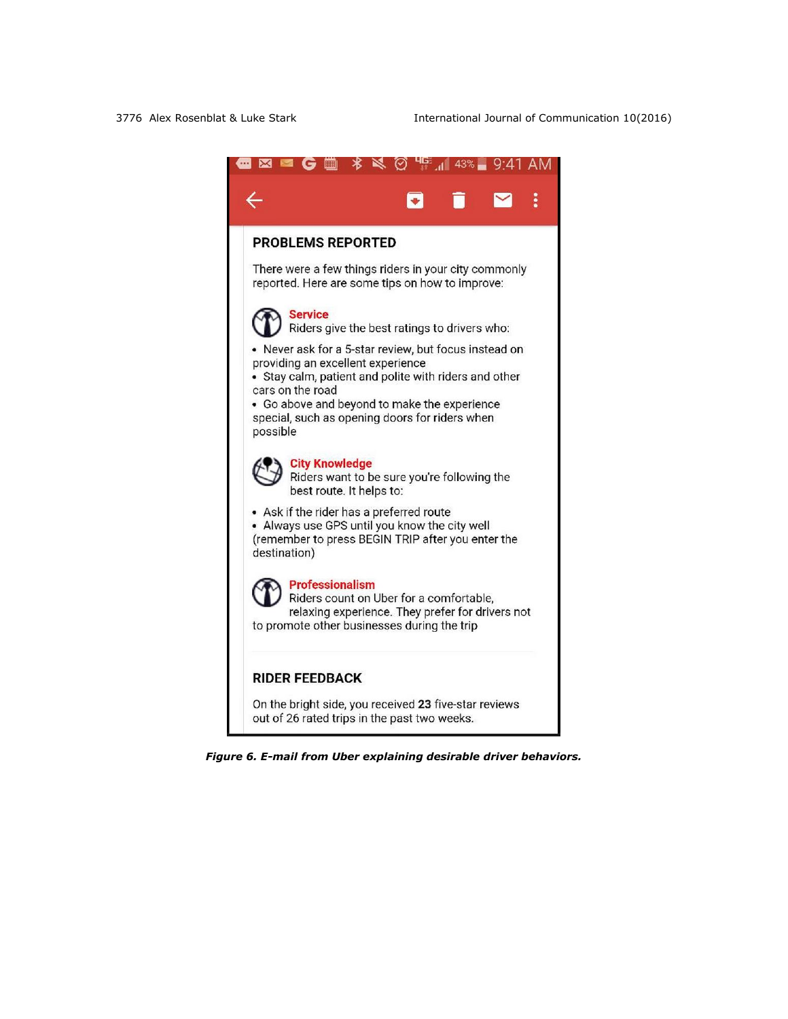

*Figure 6. E-mail from Uber explaining desirable driver behaviors.*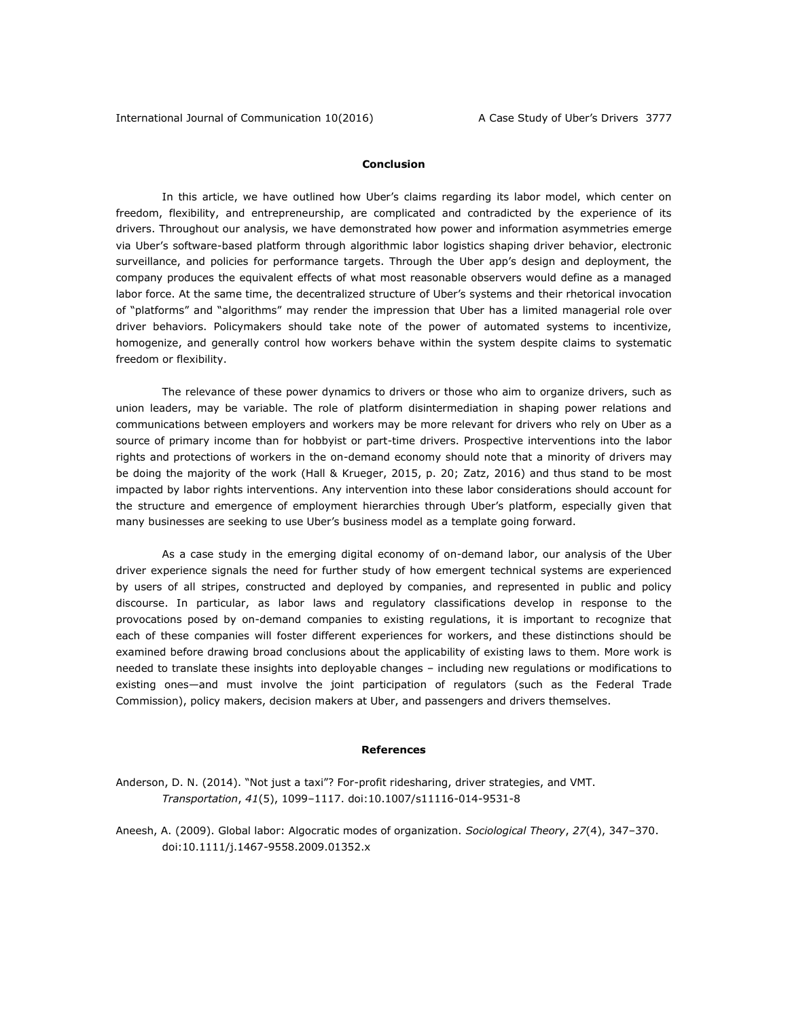# **Conclusion**

In this article, we have outlined how Uber's claims regarding its labor model, which center on freedom, flexibility, and entrepreneurship, are complicated and contradicted by the experience of its drivers. Throughout our analysis, we have demonstrated how power and information asymmetries emerge via Uber's software-based platform through algorithmic labor logistics shaping driver behavior, electronic surveillance, and policies for performance targets. Through the Uber app's design and deployment, the company produces the equivalent effects of what most reasonable observers would define as a managed labor force. At the same time, the decentralized structure of Uber's systems and their rhetorical invocation of "platforms" and "algorithms" may render the impression that Uber has a limited managerial role over driver behaviors. Policymakers should take note of the power of automated systems to incentivize, homogenize, and generally control how workers behave within the system despite claims to systematic freedom or flexibility.

The relevance of these power dynamics to drivers or those who aim to organize drivers, such as union leaders, may be variable. The role of platform disintermediation in shaping power relations and communications between employers and workers may be more relevant for drivers who rely on Uber as a source of primary income than for hobbyist or part-time drivers. Prospective interventions into the labor rights and protections of workers in the on-demand economy should note that a minority of drivers may be doing the majority of the work (Hall & Krueger, 2015, p. 20; Zatz, 2016) and thus stand to be most impacted by labor rights interventions. Any intervention into these labor considerations should account for the structure and emergence of employment hierarchies through Uber's platform, especially given that many businesses are seeking to use Uber's business model as a template going forward.

As a case study in the emerging digital economy of on-demand labor, our analysis of the Uber driver experience signals the need for further study of how emergent technical systems are experienced by users of all stripes, constructed and deployed by companies, and represented in public and policy discourse. In particular, as labor laws and regulatory classifications develop in response to the provocations posed by on-demand companies to existing regulations, it is important to recognize that each of these companies will foster different experiences for workers, and these distinctions should be examined before drawing broad conclusions about the applicability of existing laws to them. More work is needed to translate these insights into deployable changes – including new regulations or modifications to existing ones—and must involve the joint participation of regulators (such as the Federal Trade Commission), policy makers, decision makers at Uber, and passengers and drivers themselves.

#### **References**

Anderson, D. N. (2014). "Not just a taxi"? For-profit ridesharing, driver strategies, and VMT. *Transportation*, *41*(5), 1099–1117. doi:10.1007/s11116-014-9531-8

Aneesh, A. (2009). Global labor: Algocratic modes of organization. *Sociological Theory*, *27*(4), 347–370. doi:10.1111/j.1467-9558.2009.01352.x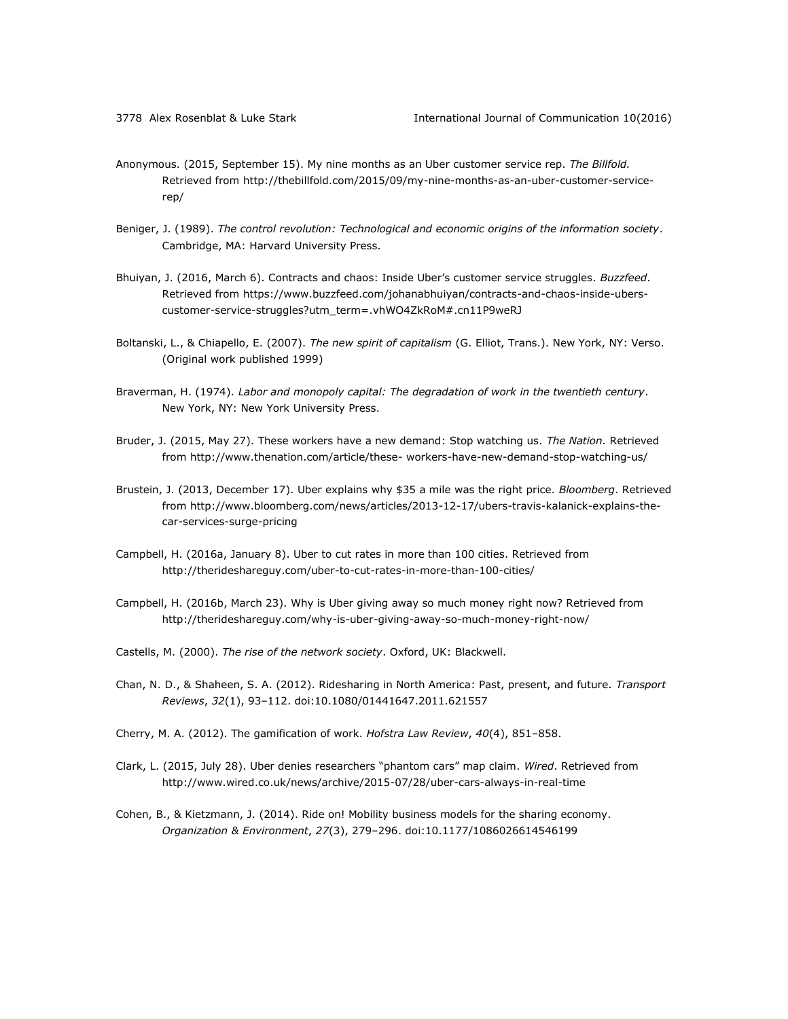- Anonymous. (2015, September 15). My nine months as an Uber customer service rep. *The Billfold.* Retrieved from [http://thebillfold.com/2015/09/my-nine-months-as-an-uber-customer-service](http://thebillfold.com/2015/09/my-nine-months-as-an-uber-customer-service-rep/)[rep/](http://thebillfold.com/2015/09/my-nine-months-as-an-uber-customer-service-rep/)
- Beniger, J. (1989). *The control revolution: Technological and economic origins of the information society*. Cambridge, MA: Harvard University Press.
- Bhuiyan, J. (2016, March 6). Contracts and chaos: Inside Uber's customer service struggles. *Buzzfeed*. Retrieved from [https://www.buzzfeed.com/johanabhuiyan/contracts-and-chaos-inside-ubers](https://www.buzzfeed.com/johanabhuiyan/contracts-and-chaos-inside-ubers-customer-service-struggles?utm_term=.vhWO4ZkRoM#.cn11P9weRJ)[customer-service-struggles?utm\\_term=.vhWO4ZkRoM#.cn11P9weRJ](https://www.buzzfeed.com/johanabhuiyan/contracts-and-chaos-inside-ubers-customer-service-struggles?utm_term=.vhWO4ZkRoM#.cn11P9weRJ)
- Boltanski, L., & Chiapello, E. (2007). *The new spirit of capitalism* (G. Elliot, Trans.). New York, NY: Verso. (Original work published 1999)
- Braverman, H. (1974). *Labor and monopoly capital: The degradation of work in the twentieth century*. New York, NY: New York University Press.
- Bruder, J. (2015, May 27). These workers have a new demand: Stop watching us. *The Nation.* Retrieved from http://www.thenation.com/article/these- [workers-have-new-demand-stop-watching-us/](http://www.thenation.com/article/these-%20workers-have-new-demand-stop-watching-us/)
- Brustein, J. (2013, December 17). Uber explains why \$35 a mile was the right price. *Bloomberg*. Retrieved from [http://www.bloomberg.com/news/articles/2013-12-17/ubers-travis-kalanick-explains-the](http://www.bloomberg.com/news/articles/2013-12-17/ubers-travis-kalanick-explains-the-car-services-surge-pricing)[car-services-surge-pricing](http://www.bloomberg.com/news/articles/2013-12-17/ubers-travis-kalanick-explains-the-car-services-surge-pricing)
- Campbell, H. (2016a, January 8). Uber to cut rates in more than 100 cities. Retrieved from <http://therideshareguy.com/uber-to-cut-rates-in-more-than-100-cities/>
- Campbell, H. (2016b, March 23). Why is Uber giving away so much money right now? Retrieved from <http://therideshareguy.com/why-is-uber-giving-away-so-much-money-right-now/>
- Castells, M. (2000). *The rise of the network society*. Oxford, UK: Blackwell.
- Chan, N. D., & Shaheen, S. A. (2012). Ridesharing in North America: Past, present, and future. *Transport Reviews*, *32*(1), 93–112. doi:10.1080/01441647.2011.621557
- Cherry, M. A. (2012). The gamification of work. *Hofstra Law Review*, *40*(4), 851–858.
- Clark, L. (2015, July 28). Uber denies researchers "phantom cars" map claim. *Wired*. Retrieved from <http://www.wired.co.uk/news/archive/2015-07/28/uber-cars-always-in-real-time>
- Cohen, B., & Kietzmann, J. (2014). Ride on! Mobility business models for the sharing economy. *Organization & Environment*, *27*(3), 279–296. doi:10.1177/1086026614546199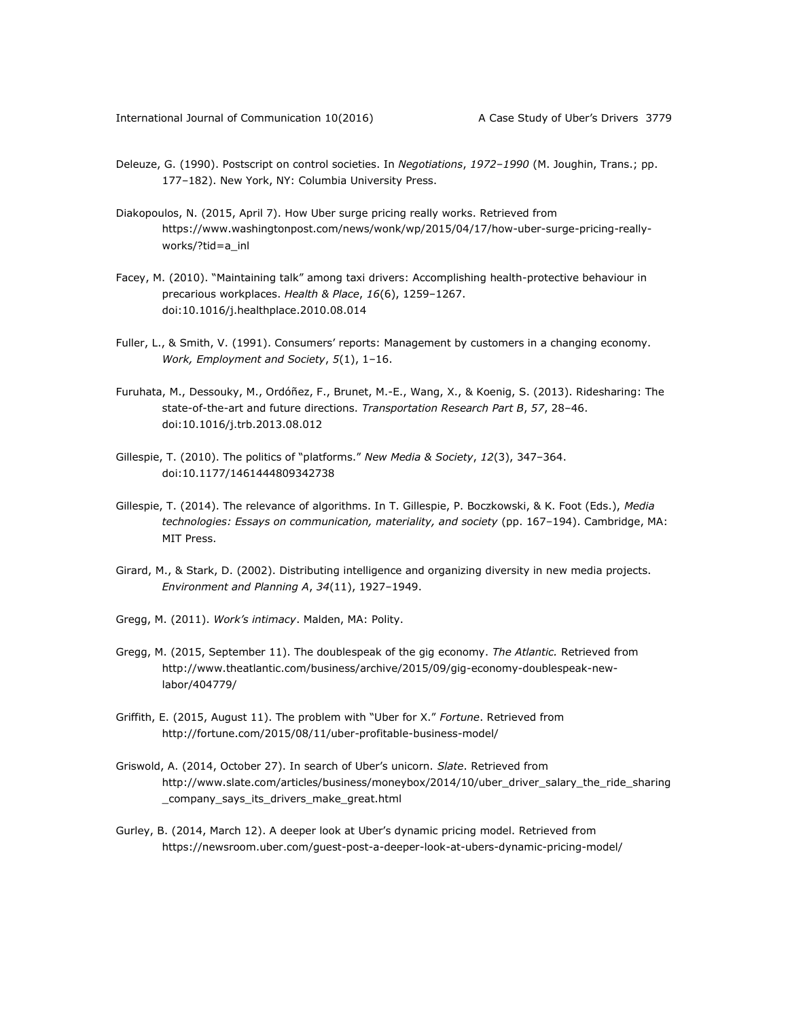- Deleuze, G. (1990). Postscript on control societies. In *Negotiations*, *1972*–*1990* (M. Joughin, Trans.; pp. 177–182). New York, NY: Columbia University Press.
- Diakopoulos, N. (2015, April 7). How Uber surge pricing really works. Retrieved from [https://www.washingtonpost.com/news/wonk/wp/2015/04/17/how-uber-surge-pricing-really](https://www.washingtonpost.com/news/wonk/wp/2015/04/17/how-uber-surge-pricing-really-works/?tid=a_inl)[works/?tid=a\\_inl](https://www.washingtonpost.com/news/wonk/wp/2015/04/17/how-uber-surge-pricing-really-works/?tid=a_inl)
- Facey, M. (2010). "Maintaining talk" among taxi drivers: Accomplishing health-protective behaviour in precarious workplaces. *Health & Place*, *16*(6), 1259–1267. doi:10.1016/j.healthplace.2010.08.014
- Fuller, L., & Smith, V. (1991). Consumers' reports: Management by customers in a changing economy. *Work, Employment and Society*, *5*(1), 1–16.
- Furuhata, M., Dessouky, M., Ordóñez, F., Brunet, M.-E., Wang, X., & Koenig, S. (2013). Ridesharing: The state-of-the-art and future directions. *Transportation Research Part B*, *57*, 28–46. doi:10.1016/j.trb.2013.08.012
- Gillespie, T. (2010). The politics of "platforms." *New Media & Society*, *12*(3), 347–364. doi:10.1177/1461444809342738
- Gillespie, T. (2014). The relevance of algorithms. In T. Gillespie, P. Boczkowski, & K. Foot (Eds.), *Media technologies: Essays on communication, materiality, and society* (pp. 167–194). Cambridge, MA: MIT Press.
- Girard, M., & Stark, D. (2002). Distributing intelligence and organizing diversity in new media projects. *Environment and Planning A*, *34*(11), 1927–1949.
- Gregg, M. (2011). *Work's intimacy*. Malden, MA: Polity.
- Gregg, M. (2015, September 11). The doublespeak of the gig economy. *The Atlantic.* Retrieved from [http://www.theatlantic.com/business/archive/2015/09/gig-economy-doublespeak-new](http://www.theatlantic.com/business/archive/2015/09/gig-economy-doublespeak-new-labor/404779/)[labor/404779/](http://www.theatlantic.com/business/archive/2015/09/gig-economy-doublespeak-new-labor/404779/)
- Griffith, E. (2015, August 11). The problem with "Uber for X." *Fortune*. Retrieved from <http://fortune.com/2015/08/11/uber-profitable-business-model/>
- Griswold, A. (2014, October 27). In search of Uber's unicorn. *Slate*. Retrieved from [http://www.slate.com/articles/business/moneybox/2014/10/uber\\_driver\\_salary\\_the\\_ride\\_sharing](http://www.slate.com/articles/business/moneybox/2014/10/uber_driver_salary_the_ride_sharing_company_says_its_drivers_make_great.html) [\\_company\\_says\\_its\\_drivers\\_make\\_great.html](http://www.slate.com/articles/business/moneybox/2014/10/uber_driver_salary_the_ride_sharing_company_says_its_drivers_make_great.html)
- Gurley, B. (2014, March 12). A deeper look at Uber's dynamic pricing model. Retrieved from <https://newsroom.uber.com/guest-post-a-deeper-look-at-ubers-dynamic-pricing-model/>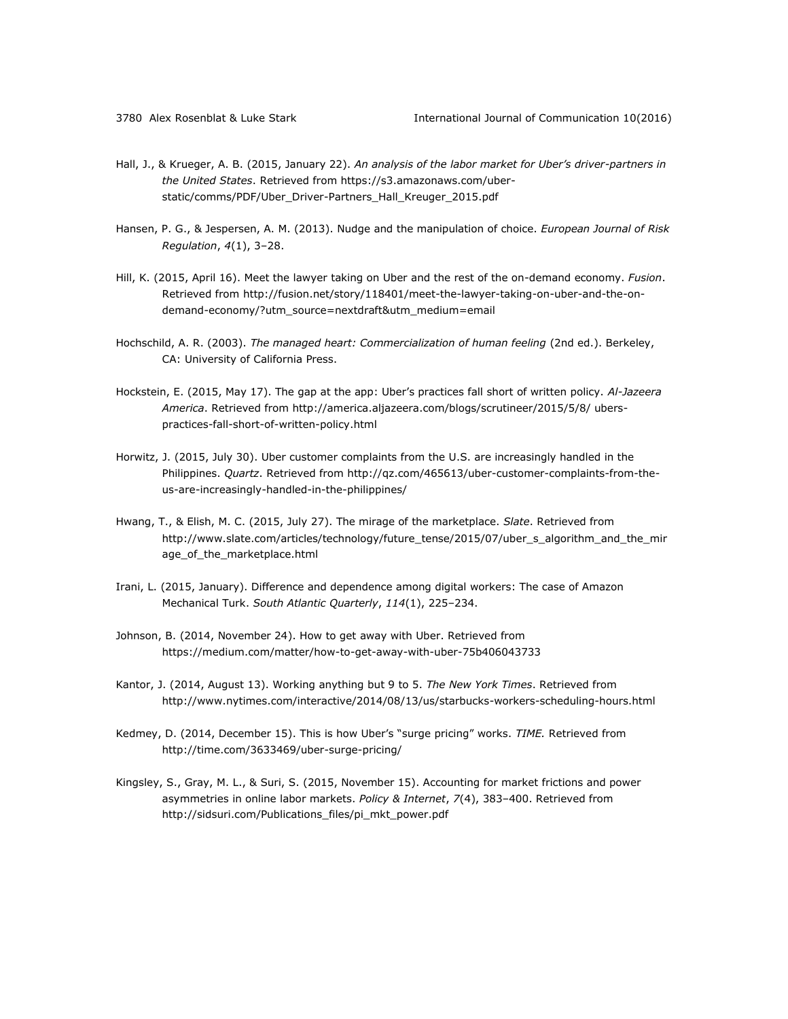- Hall, J., & Krueger, A. B. (2015, January 22). *An analysis of the labor market for Uber's driver-partners in the United States*. Retrieved fro[m https://s3.amazonaws.com/uber](https://s3.amazonaws.com/uber-static/comms/PDF/Uber_Driver-Partners_Hall_Kreuger_2015.pdf)[static/comms/PDF/Uber\\_Driver-Partners\\_Hall\\_Kreuger\\_2015.pdf](https://s3.amazonaws.com/uber-static/comms/PDF/Uber_Driver-Partners_Hall_Kreuger_2015.pdf)
- Hansen, P. G., & Jespersen, A. M. (2013). Nudge and the manipulation of choice. *European Journal of Risk Regulation*, *4*(1), 3–28.
- Hill, K. (2015, April 16). Meet the lawyer taking on Uber and the rest of the on-demand economy. *Fusion*. Retrieved from [http://fusion.net/story/118401/meet-the-lawyer-taking-on-uber-and-the-on](http://fusion.net/story/118401/meet-the-lawyer-taking-on-uber-and-the-on-demand-economy/?utm_source=nextdraft&utm_medium=email)[demand-economy/?utm\\_source=nextdraft&utm\\_medium=email](http://fusion.net/story/118401/meet-the-lawyer-taking-on-uber-and-the-on-demand-economy/?utm_source=nextdraft&utm_medium=email)
- Hochschild, A. R. (2003). *The managed heart: Commercialization of human feeling* (2nd ed.). Berkeley, CA: University of California Press.
- Hockstein, E. (2015, May 17). The gap at the app: Uber's practices fall short of written policy. *Al-Jazeera America*. Retrieved from http://america.aljazeera.com/blogs/scrutineer/2015/5/8/ uberspractices-fall-short-of-written-policy.html
- Horwitz, J. (2015, July 30). Uber customer complaints from the U.S. are increasingly handled in the Philippines. *Quartz*. Retrieved from [http://qz.com/465613/uber-customer-complaints-from-the](http://qz.com/465613/uber-customer-complaints-from-the-us-are-increasingly-handled-in-the-philippines/)[us-are-increasingly-handled-in-the-philippines/](http://qz.com/465613/uber-customer-complaints-from-the-us-are-increasingly-handled-in-the-philippines/)
- Hwang, T., & Elish, M. C. (2015, July 27). The mirage of the marketplace. *Slate*. Retrieved from [http://www.slate.com/articles/technology/future\\_tense/2015/07/uber\\_s\\_algorithm\\_and\\_the\\_mir](http://www.slate.com/articles/technology/future_tense/2015/07/uber_s_algorithm_and_the_mirage_of_the_marketplace.html) [age\\_of\\_the\\_marketplace.html](http://www.slate.com/articles/technology/future_tense/2015/07/uber_s_algorithm_and_the_mirage_of_the_marketplace.html)
- Irani, L. (2015, January). Difference and dependence among digital workers: The case of Amazon Mechanical Turk. *South Atlantic Quarterly*, *114*(1), 225–234.
- Johnson, B. (2014, November 24). How to get away with Uber. Retrieved from https://medium.com/matter/how-to-get-away-with-uber-75b406043733
- Kantor, J. (2014, August 13). Working anything but 9 to 5. *The New York Times*. Retrieved from <http://www.nytimes.com/interactive/2014/08/13/us/starbucks-workers-scheduling-hours.html>
- Kedmey, D. (2014, December 15). This is how Uber's "surge pricing" works. *TIME.* Retrieved from <http://time.com/3633469/uber-surge-pricing/>
- Kingsley, S., Gray, M. L., & Suri, S. (2015, November 15). Accounting for market frictions and power asymmetries in online labor markets. *Policy & Internet*, *7*(4), 383–400. Retrieved from [http://sidsuri.com/Publications\\_files/pi\\_mkt\\_power.pdf](http://sidsuri.com/Publications_files/pi_mkt_power.pdf)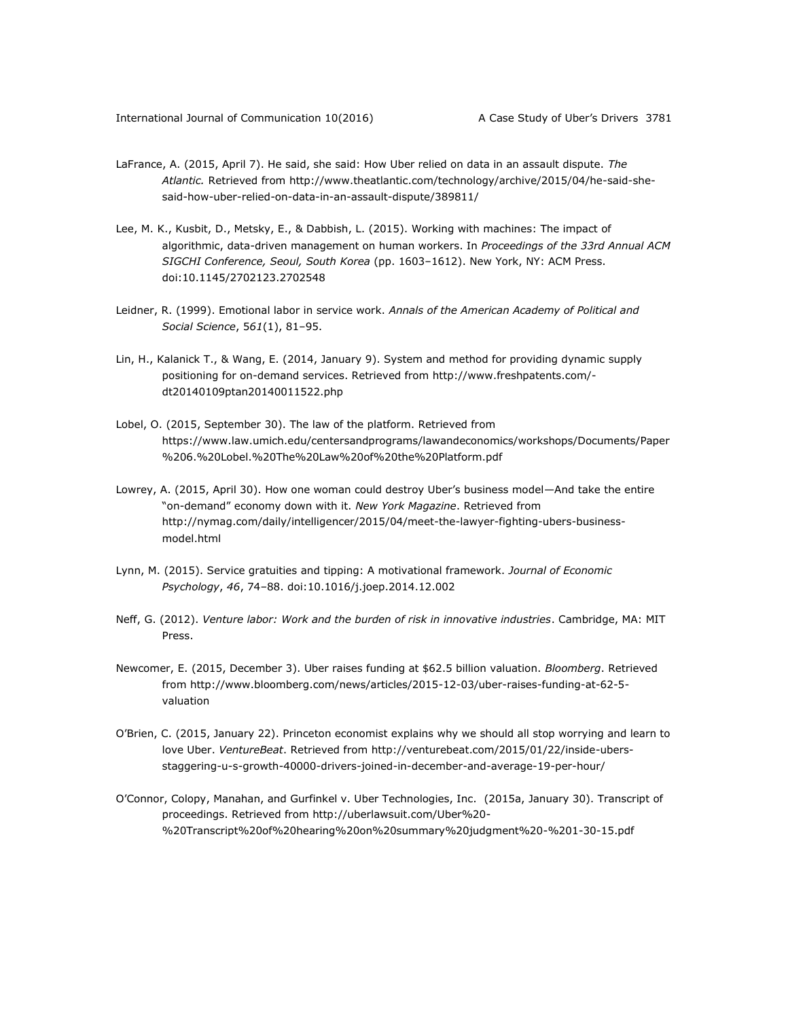- LaFrance, A. (2015, April 7). He said, she said: How Uber relied on data in an assault dispute. *The Atlantic.* Retrieved fro[m http://www.theatlantic.com/technology/archive/2015/04/he-said-she](http://www.theatlantic.com/technology/archive/2015/04/he-said-she-said-how-uber-relied-on-data-in-an-assault-dispute/389811/)[said-how-uber-relied-on-data-in-an-assault-dispute/389811/](http://www.theatlantic.com/technology/archive/2015/04/he-said-she-said-how-uber-relied-on-data-in-an-assault-dispute/389811/)
- Lee, M. K., Kusbit, D., Metsky, E., & Dabbish, L. (2015). Working with machines: The impact of algorithmic, data-driven management on human workers. In *Proceedings of the 33rd Annual ACM SIGCHI Conference, Seoul, South Korea* (pp. 1603–1612). New York, NY: ACM Press. doi:10.1145/2702123.2702548
- Leidner, R. (1999). Emotional labor in service work. *Annals of the American Academy of Political and Social Science*, 5*61*(1), 81–95.
- Lin, H., Kalanick T., & Wang, E. (2014, January 9). System and method for providing dynamic supply positioning for on-demand services. Retrieved from [http://www.freshpatents.com/](http://www.freshpatents.com/-dt20140109ptan20140011522.php) [dt20140109ptan20140011522.php](http://www.freshpatents.com/-dt20140109ptan20140011522.php)
- Lobel, O. (2015, September 30). The law of the platform. Retrieved from [https://www.law.umich.edu/centersandprograms/lawandeconomics/workshops/Documents/Paper](https://www.law.umich.edu/centersandprograms/lawandeconomics/workshops/Documents/Paper%206.%20Lobel.%20The%20Law%20of%20the%20Platform.pdf) [%206.%20Lobel.%20The%20Law%20of%20the%20Platform.pdf](https://www.law.umich.edu/centersandprograms/lawandeconomics/workshops/Documents/Paper%206.%20Lobel.%20The%20Law%20of%20the%20Platform.pdf)
- Lowrey, A. (2015, April 30). How one woman could destroy Uber's business model—And take the entire "on-demand" economy down with it. *New York Magazine*. Retrieved from [http://nymag.com/daily/intelligencer/2015/04/meet-the-lawyer-fighting-ubers-business](http://nymag.com/daily/intelligencer/2015/04/meet-the-lawyer-fighting-ubers-business-model.html)[model.html](http://nymag.com/daily/intelligencer/2015/04/meet-the-lawyer-fighting-ubers-business-model.html)
- Lynn, M. (2015). Service gratuities and tipping: A motivational framework. *Journal of Economic Psychology*, *46*, 74–88. doi:10.1016/j.joep.2014.12.002
- Neff, G. (2012). *Venture labor: Work and the burden of risk in innovative industries*. Cambridge, MA: MIT Press.
- Newcomer, E. (2015, December 3). Uber raises funding at \$62.5 billion valuation. *Bloomberg*. Retrieved from [http://www.bloomberg.com/news/articles/2015-12-03/uber-raises-funding-at-62-5](http://www.bloomberg.com/news/articles/2015-12-03/uber-raises-funding-at-62-5-valuation) [valuation](http://www.bloomberg.com/news/articles/2015-12-03/uber-raises-funding-at-62-5-valuation)
- O'Brien, C. (2015, January 22). Princeton economist explains why we should all stop worrying and learn to love Uber. *VentureBeat*. Retrieved from [http://venturebeat.com/2015/01/22/inside-ubers](http://venturebeat.com/2015/01/22/inside-ubers-staggering-u-s-growth-40000-drivers-joined-in-december-and-average-19-per-hour/)[staggering-u-s-growth-40000-drivers-joined-in-december-and-average-19-per-hour/](http://venturebeat.com/2015/01/22/inside-ubers-staggering-u-s-growth-40000-drivers-joined-in-december-and-average-19-per-hour/)
- O'Connor, Colopy, Manahan, and Gurfinkel v. Uber Technologies, Inc. (2015a, January 30). Transcript of proceedings. Retrieved from [http://uberlawsuit.com/Uber%20-](http://uberlawsuit.com/Uber%20-%20Transcript%20of%20hearing%20on%20summary%20judgment%20-%201-30-15.pdf) [%20Transcript%20of%20hearing%20on%20summary%20judgment%20-%201-30-15.pdf](http://uberlawsuit.com/Uber%20-%20Transcript%20of%20hearing%20on%20summary%20judgment%20-%201-30-15.pdf)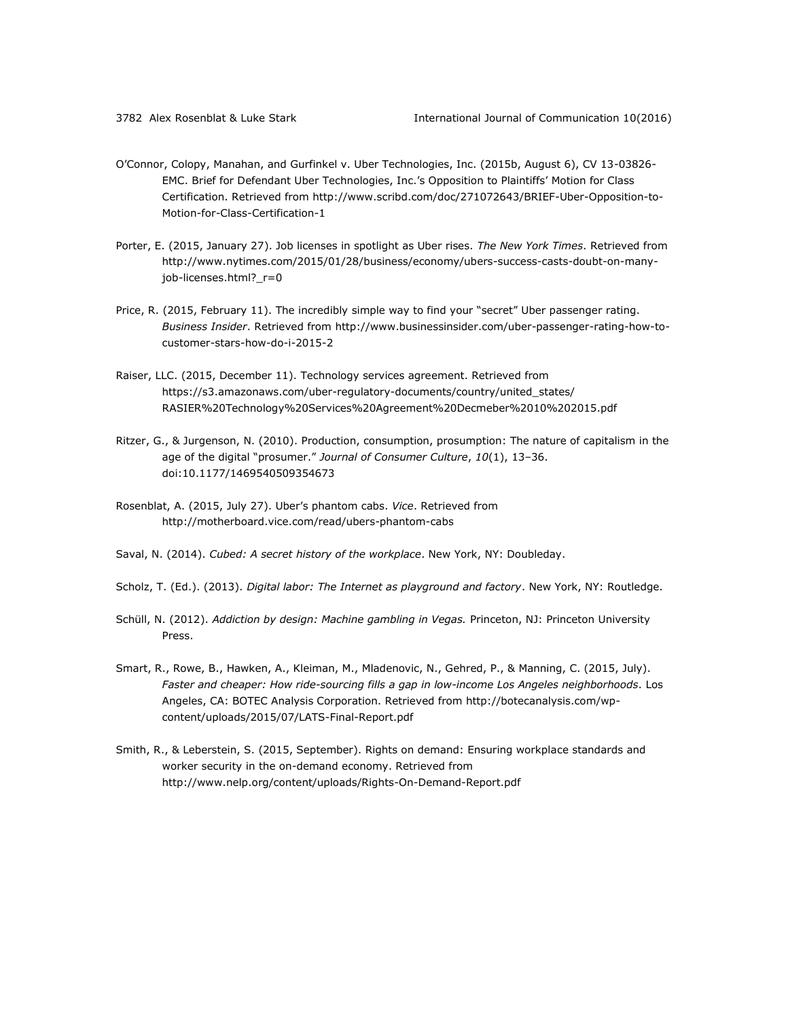- O'Connor, Colopy, Manahan, and Gurfinkel v. Uber Technologies, Inc. (2015b, August 6), CV 13-03826- EMC. Brief for Defendant Uber Technologies, Inc.'s Opposition to Plaintiffs' Motion for Class Certification. Retrieved from [http://www.scribd.com/doc/271072643/BRIEF-Uber-Opposition-to-](http://www.scribd.com/doc/271072643/BRIEF-Uber-Opposition-to-Motion-for-Class-Certification-1)[Motion-for-Class-Certification-1](http://www.scribd.com/doc/271072643/BRIEF-Uber-Opposition-to-Motion-for-Class-Certification-1)
- Porter, E. (2015, January 27). Job licenses in spotlight as Uber rises. *The New York Times*. Retrieved from [http://www.nytimes.com/2015/01/28/business/economy/ubers-success-casts-doubt-on-many](http://www.nytimes.com/2015/01/28/business/economy/ubers-success-casts-doubt-on-many-job-licenses.html?_r=0)job-licenses.html? r=0
- Price, R. (2015, February 11). The incredibly simple way to find your "secret" Uber passenger rating. *Business Insider*. Retrieved from [http://www.businessinsider.com/uber-passenger-rating-how-to](http://www.businessinsider.com/uber-passenger-rating-how-to-customer-stars-how-do-i-2015-2)[customer-stars-how-do-i-2015-2](http://www.businessinsider.com/uber-passenger-rating-how-to-customer-stars-how-do-i-2015-2)
- Raiser, LLC. (2015, December 11). Technology services agreement. Retrieved from [https://s3.amazonaws.com/uber-regulatory-documents/country/united\\_states/](https://s3.amazonaws.com/uber-regulatory-documents/country/united_states/RASIER%20Technology%20Services%20Agreement%20Decmeber%2010%202015.pdf) [RASIER%20Technology%20Services%20Agreement%20Decmeber%2010%202015.pdf](https://s3.amazonaws.com/uber-regulatory-documents/country/united_states/RASIER%20Technology%20Services%20Agreement%20Decmeber%2010%202015.pdf)
- Ritzer, G., & Jurgenson, N. (2010). Production, consumption, prosumption: The nature of capitalism in the age of the digital "prosumer." *Journal of Consumer Culture*, *10*(1), 13–36. doi:10.1177/1469540509354673
- Rosenblat, A. (2015, July 27). Uber's phantom cabs. *Vice*. Retrieved from <http://motherboard.vice.com/read/ubers-phantom-cabs>
- Saval, N. (2014). *Cubed: A secret history of the workplace*. New York, NY: Doubleday.
- Scholz, T. (Ed.). (2013). *Digital labor: The Internet as playground and factory*. New York, NY: Routledge.
- Schüll, N. (2012). *Addiction by design: Machine gambling in Vegas.* Princeton, NJ: Princeton University Press.
- Smart, R., Rowe, B., Hawken, A., Kleiman, M., Mladenovic, N., Gehred, P., & Manning, C. (2015, July). *Faster and cheaper: How ride-sourcing fills a gap in low-income Los Angeles neighborhoods*. Los Angeles, CA: BOTEC Analysis Corporation. Retrieved from [http://botecanalysis.com/wp](http://botecanalysis.com/wp-content/uploads/2015/07/LATS-Final-Report.pdf)[content/uploads/2015/07/LATS-Final-Report.pdf](http://botecanalysis.com/wp-content/uploads/2015/07/LATS-Final-Report.pdf)
- Smith, R., & Leberstein, S. (2015, September). Rights on demand: Ensuring workplace standards and worker security in the on-demand economy. Retrieved from <http://www.nelp.org/content/uploads/Rights-On-Demand-Report.pdf>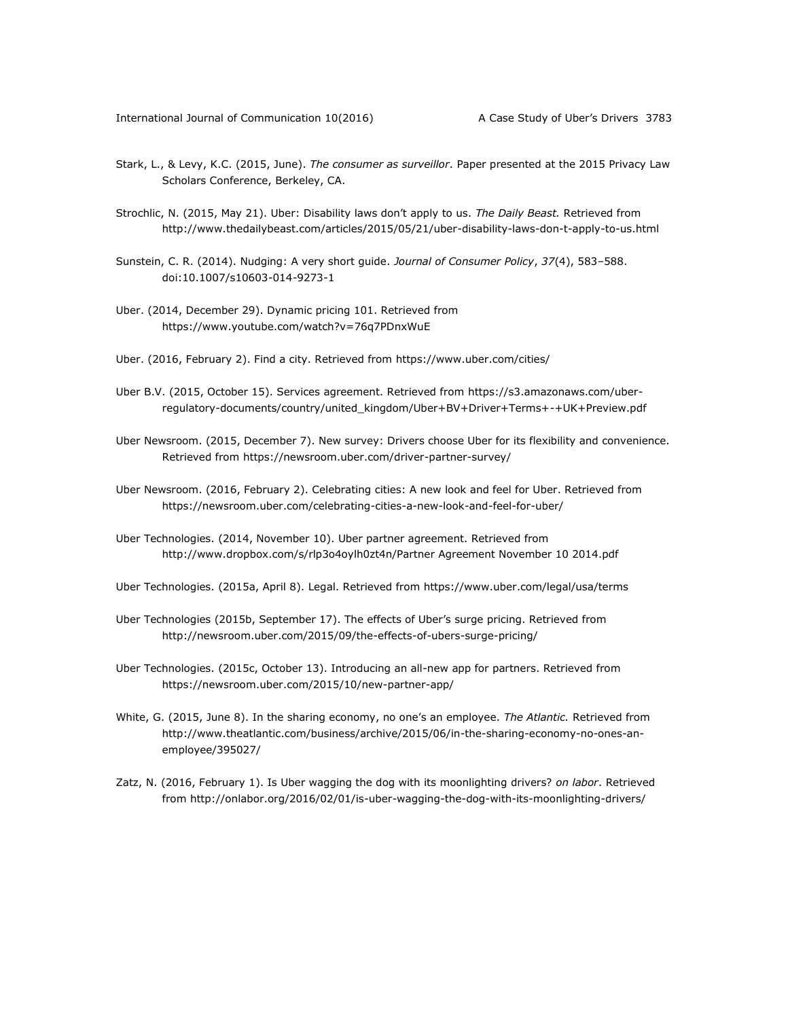- Stark, L., & Levy, K.C. (2015, June). *The consumer as surveillor*. Paper presented at the 2015 Privacy Law Scholars Conference, Berkeley, CA.
- Strochlic, N. (2015, May 21). Uber: Disability laws don't apply to us. *The Daily Beast.* Retrieved from <http://www.thedailybeast.com/articles/2015/05/21/uber-disability-laws-don-t-apply-to-us.html>
- Sunstein, C. R. (2014). Nudging: A very short guide. *Journal of Consumer Policy*, *37*(4), 583–588. doi:10.1007/s10603-014-9273-1
- Uber. (2014, December 29). Dynamic pricing 101. Retrieved from <https://www.youtube.com/watch?v=76q7PDnxWuE>
- Uber. (2016, February 2). Find a city. Retrieved from<https://www.uber.com/cities/>
- Uber B.V. (2015, October 15). Services agreement. Retrieved from [https://s3.amazonaws.com/uber](https://s3.amazonaws.com/uber-regulatory-documents/country/united_kingdom/Uber+BV+Driver+Terms+-+UK+Preview.pdf)[regulatory-documents/country/united\\_kingdom/Uber+BV+Driver+Terms+-+UK+Preview.pdf](https://s3.amazonaws.com/uber-regulatory-documents/country/united_kingdom/Uber+BV+Driver+Terms+-+UK+Preview.pdf)
- Uber Newsroom. (2015, December 7). New survey: Drivers choose Uber for its flexibility and convenience. Retrieved from<https://newsroom.uber.com/driver-partner-survey/>
- Uber Newsroom. (2016, February 2). Celebrating cities: A new look and feel for Uber. Retrieved from <https://newsroom.uber.com/celebrating-cities-a-new-look-and-feel-for-uber/>
- Uber Technologies. (2014, November 10). Uber partner agreement. Retrieved from [http://www.dropbox.com/s/rlp3o4oylh0zt4n/Partner Agreement November 10 2014.pdf](http://www.dropbox.com/s/rlp3o4oylh0zt4n/Partner%20Agreement%20November%2010%202014.pdf)
- Uber Technologies. (2015a, April 8). Legal. Retrieved from<https://www.uber.com/legal/usa/terms>
- Uber Technologies (2015b, September 17). The effects of Uber's surge pricing. Retrieved from <http://newsroom.uber.com/2015/09/the-effects-of-ubers-surge-pricing/>
- Uber Technologies. (2015c, October 13). Introducing an all-new app for partners. Retrieved from <https://newsroom.uber.com/2015/10/new-partner-app/>
- White, G. (2015, June 8). In the sharing economy, no one's an employee. *The Atlantic.* Retrieved from [http://www.theatlantic.com/business/archive/2015/06/in-the-sharing-economy-no-ones-an](http://www.theatlantic.com/business/archive/2015/06/in-the-sharing-economy-no-ones-an-employee/395027/)[employee/395027/](http://www.theatlantic.com/business/archive/2015/06/in-the-sharing-economy-no-ones-an-employee/395027/)
- Zatz, N. (2016, February 1). Is Uber wagging the dog with its moonlighting drivers? *on labor*. Retrieved from<http://onlabor.org/2016/02/01/is-uber-wagging-the-dog-with-its-moonlighting-drivers/>